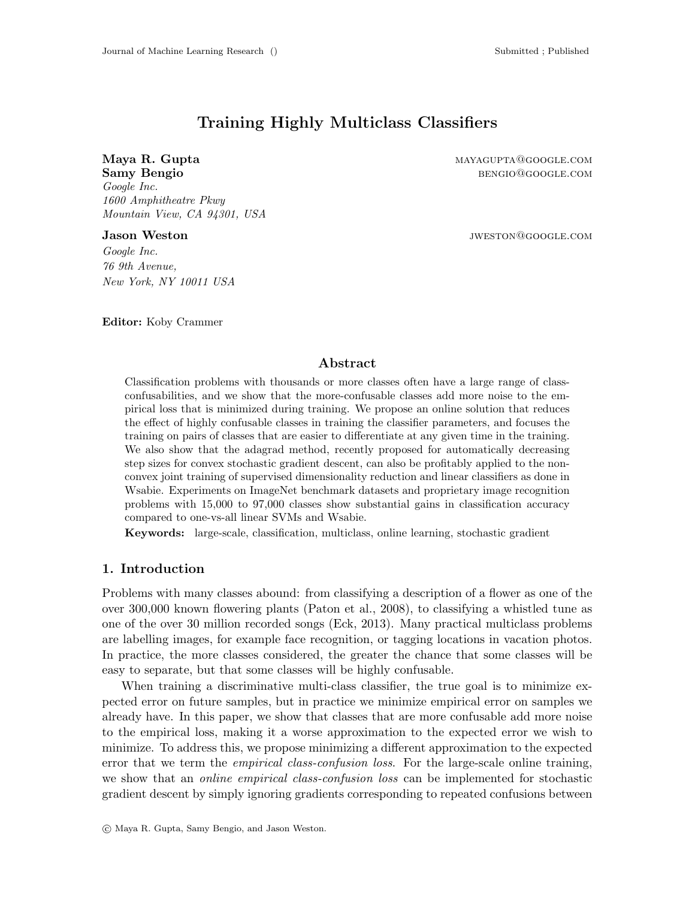# Training Highly Multiclass Classifiers

Maya R. Gupta mayagupta mayagupta mayagupta mayagupta mayagupta mayagupta mayagupta mayagupta mayagupta mayagupta mayagupta mayagupta mayagupta mayagupta mayagupta mayagupta mayagupta mayagupta mayagupta mayagupta mayagupt Samy Bengio benging benging benging benging benging benging benging benging benging benging benging benging benging benging benging benging benging benging benging benging benging benging benging benging benging benging be Google Inc. 1600 Amphitheatre Pkwy Mountain View, CA 94301, USA

Jason Weston jweston@google.com

Google Inc. 76 9th Avenue, New York, NY 10011 USA

Editor: Koby Crammer

## Abstract

Classification problems with thousands or more classes often have a large range of classconfusabilities, and we show that the more-confusable classes add more noise to the empirical loss that is minimized during training. We propose an online solution that reduces the effect of highly confusable classes in training the classifier parameters, and focuses the training on pairs of classes that are easier to differentiate at any given time in the training. We also show that the adagrad method, recently proposed for automatically decreasing step sizes for convex stochastic gradient descent, can also be profitably applied to the nonconvex joint training of supervised dimensionality reduction and linear classifiers as done in Wsabie. Experiments on ImageNet benchmark datasets and proprietary image recognition problems with 15,000 to 97,000 classes show substantial gains in classification accuracy compared to one-vs-all linear SVMs and Wsabie.

Keywords: large-scale, classification, multiclass, online learning, stochastic gradient

# 1. Introduction

Problems with many classes abound: from classifying a description of a flower as one of the over 300,000 known flowering plants (Paton et al., 2008), to classifying a whistled tune as one of the over 30 million recorded songs (Eck, 2013). Many practical multiclass problems are labelling images, for example face recognition, or tagging locations in vacation photos. In practice, the more classes considered, the greater the chance that some classes will be easy to separate, but that some classes will be highly confusable.

When training a discriminative multi-class classifier, the true goal is to minimize expected error on future samples, but in practice we minimize empirical error on samples we already have. In this paper, we show that classes that are more confusable add more noise to the empirical loss, making it a worse approximation to the expected error we wish to minimize. To address this, we propose minimizing a different approximation to the expected error that we term the *empirical class-confusion loss*. For the large-scale online training, we show that an *online empirical class-confusion loss* can be implemented for stochastic gradient descent by simply ignoring gradients corresponding to repeated confusions between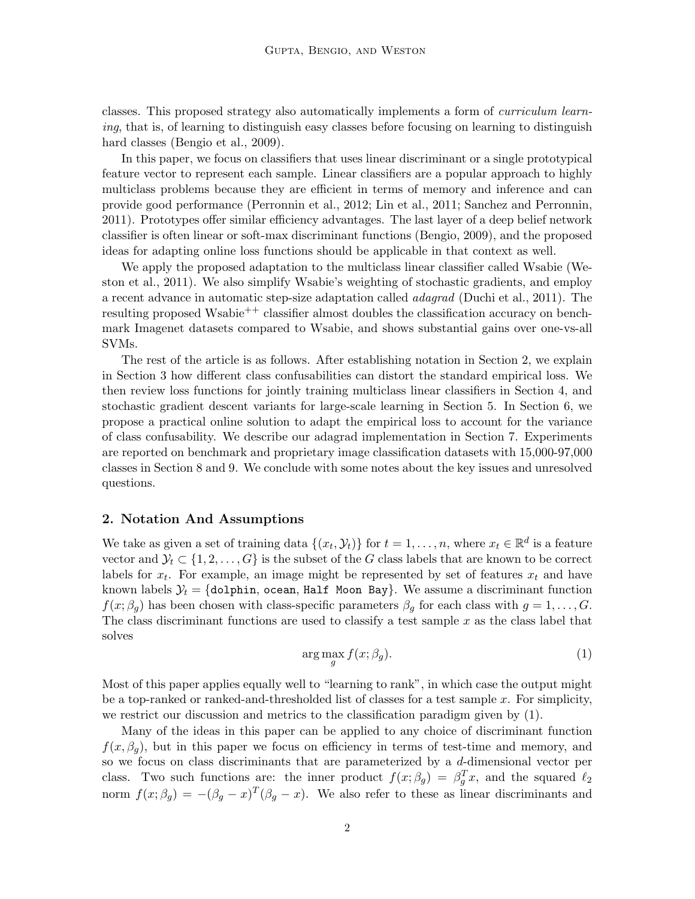classes. This proposed strategy also automatically implements a form of curriculum learning, that is, of learning to distinguish easy classes before focusing on learning to distinguish hard classes (Bengio et al., 2009).

In this paper, we focus on classifiers that uses linear discriminant or a single prototypical feature vector to represent each sample. Linear classifiers are a popular approach to highly multiclass problems because they are efficient in terms of memory and inference and can provide good performance (Perronnin et al., 2012; Lin et al., 2011; Sanchez and Perronnin, 2011). Prototypes offer similar efficiency advantages. The last layer of a deep belief network classifier is often linear or soft-max discriminant functions (Bengio, 2009), and the proposed ideas for adapting online loss functions should be applicable in that context as well.

We apply the proposed adaptation to the multiclass linear classifier called Wsabie (Weston et al., 2011). We also simplify Wsabie's weighting of stochastic gradients, and employ a recent advance in automatic step-size adaptation called adagrad (Duchi et al., 2011). The resulting proposed Wsabie<sup>++</sup> classifier almost doubles the classification accuracy on benchmark Imagenet datasets compared to Wsabie, and shows substantial gains over one-vs-all SVMs.

The rest of the article is as follows. After establishing notation in Section 2, we explain in Section 3 how different class confusabilities can distort the standard empirical loss. We then review loss functions for jointly training multiclass linear classifiers in Section 4, and stochastic gradient descent variants for large-scale learning in Section 5. In Section 6, we propose a practical online solution to adapt the empirical loss to account for the variance of class confusability. We describe our adagrad implementation in Section 7. Experiments are reported on benchmark and proprietary image classification datasets with 15,000-97,000 classes in Section 8 and 9. We conclude with some notes about the key issues and unresolved questions.

### 2. Notation And Assumptions

We take as given a set of training data  $\{(x_t, \mathcal{Y}_t)\}\$ for  $t = 1, \ldots, n$ , where  $x_t \in \mathbb{R}^d$  is a feature vector and  $\mathcal{Y}_t \subset \{1, 2, \ldots, G\}$  is the subset of the G class labels that are known to be correct labels for  $x_t$ . For example, an image might be represented by set of features  $x_t$  and have known labels  $\mathcal{Y}_t = \{\texttt{dolphin}, \texttt{ocean}, \texttt{Half Moon Bay}\}.$  We assume a discriminant function  $f(x; \beta_q)$  has been chosen with class-specific parameters  $\beta_q$  for each class with  $g = 1, \ldots, G$ . The class discriminant functions are used to classify a test sample  $x$  as the class label that solves

$$
\arg\max_{g} f(x; \beta_g). \tag{1}
$$

Most of this paper applies equally well to "learning to rank", in which case the output might be a top-ranked or ranked-and-thresholded list of classes for a test sample  $x$ . For simplicity, we restrict our discussion and metrics to the classification paradigm given by (1).

Many of the ideas in this paper can be applied to any choice of discriminant function  $f(x, \beta_q)$ , but in this paper we focus on efficiency in terms of test-time and memory, and so we focus on class discriminants that are parameterized by a d-dimensional vector per class. Two such functions are: the inner product  $f(x; \beta_g) = \beta_g^T x$ , and the squared  $\ell_2$ norm  $f(x; \beta_g) = -(\beta_g - x)^T(\beta_g - x)$ . We also refer to these as linear discriminants and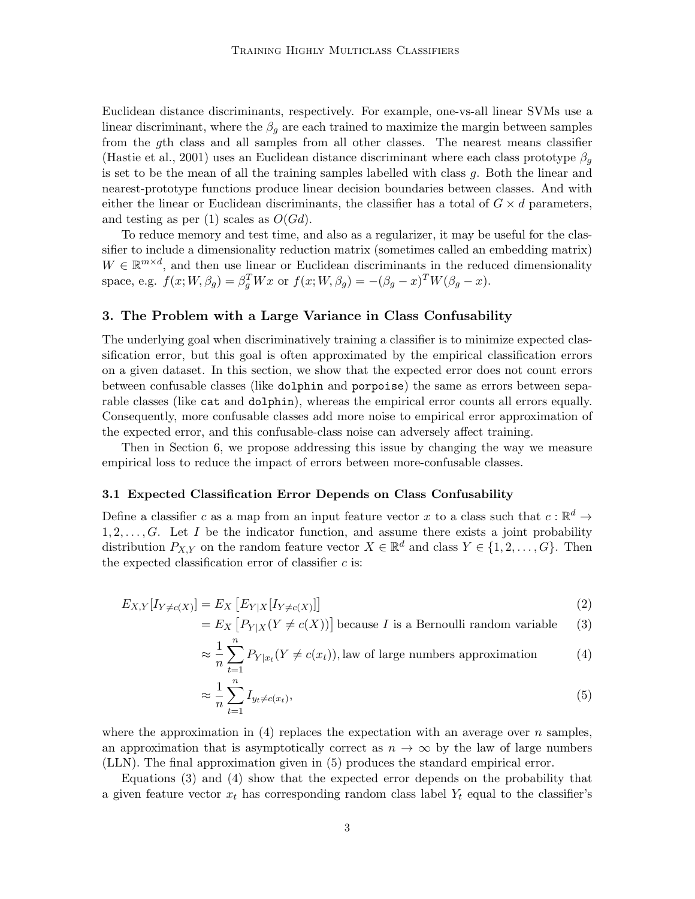Euclidean distance discriminants, respectively. For example, one-vs-all linear SVMs use a linear discriminant, where the  $\beta_q$  are each trained to maximize the margin between samples from the gth class and all samples from all other classes. The nearest means classifier (Hastie et al., 2001) uses an Euclidean distance discriminant where each class prototype  $\beta_a$ is set to be the mean of all the training samples labelled with class  $g$ . Both the linear and nearest-prototype functions produce linear decision boundaries between classes. And with either the linear or Euclidean discriminants, the classifier has a total of  $G \times d$  parameters, and testing as per (1) scales as  $O(Gd)$ .

To reduce memory and test time, and also as a regularizer, it may be useful for the classifier to include a dimensionality reduction matrix (sometimes called an embedding matrix)  $W \in \mathbb{R}^{m \times d}$ , and then use linear or Euclidean discriminants in the reduced dimensionality space, e.g.  $f(x;W,\beta_g) = \beta_g^T W x$  or  $f(x;W,\beta_g) = -(\beta_g - x)^T W (\beta_g - x)$ .

### 3. The Problem with a Large Variance in Class Confusability

The underlying goal when discriminatively training a classifier is to minimize expected classification error, but this goal is often approximated by the empirical classification errors on a given dataset. In this section, we show that the expected error does not count errors between confusable classes (like dolphin and porpoise) the same as errors between separable classes (like cat and dolphin), whereas the empirical error counts all errors equally. Consequently, more confusable classes add more noise to empirical error approximation of the expected error, and this confusable-class noise can adversely affect training.

Then in Section 6, we propose addressing this issue by changing the way we measure empirical loss to reduce the impact of errors between more-confusable classes.

# 3.1 Expected Classification Error Depends on Class Confusability

Define a classifier c as a map from an input feature vector x to a class such that  $c : \mathbb{R}^d \to$  $1, 2, \ldots, G$ . Let I be the indicator function, and assume there exists a joint probability distribution  $P_{X,Y}$  on the random feature vector  $X \in \mathbb{R}^d$  and class  $Y \in \{1, 2, ..., G\}$ . Then the expected classification error of classifier  $c$  is:

$$
E_{X,Y}[I_{Y \neq c(X)}] = E_X\left[E_{Y|X}[I_{Y \neq c(X)}]\right]
$$
\n<sup>(2)</sup>

 $= E_X \left[ P_{Y|X}(Y \neq c(X)) \right]$  because I is a Bernoulli random variable (3)

$$
\approx \frac{1}{n} \sum_{t=1}^{n} P_{Y|x_t}(Y \neq c(x_t)),
$$
 law of large numbers approximation (4)

$$
\approx \frac{1}{n} \sum_{t=1}^{n} I_{y_t \neq c(x_t)},\tag{5}
$$

where the approximation in (4) replaces the expectation with an average over n samples, an approximation that is asymptotically correct as  $n \to \infty$  by the law of large numbers (LLN). The final approximation given in (5) produces the standard empirical error.

Equations (3) and (4) show that the expected error depends on the probability that a given feature vector  $x_t$  has corresponding random class label  $Y_t$  equal to the classifier's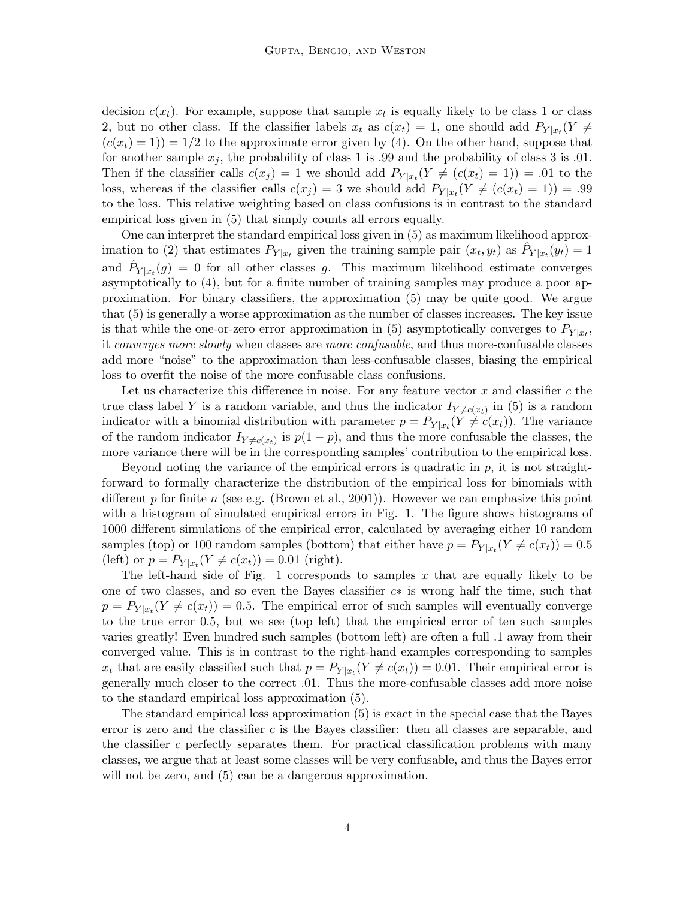decision  $c(x_t)$ . For example, suppose that sample  $x_t$  is equally likely to be class 1 or class 2, but no other class. If the classifier labels  $x_t$  as  $c(x_t) = 1$ , one should add  $P_{Y|x_t}(Y \neq 0)$  $(c(x_t) = 1)$  = 1/2 to the approximate error given by (4). On the other hand, suppose that for another sample  $x_i$ , the probability of class 1 is .99 and the probability of class 3 is .01. Then if the classifier calls  $c(x_j) = 1$  we should add  $P_{Y|x_t}(Y \neq (c(x_t) = 1)) = .01$  to the loss, whereas if the classifier calls  $c(x_j) = 3$  we should add  $P_{Y|x_t}(Y \neq (c(x_t) = 1)) = .99$ to the loss. This relative weighting based on class confusions is in contrast to the standard empirical loss given in (5) that simply counts all errors equally.

One can interpret the standard empirical loss given in (5) as maximum likelihood approximation to (2) that estimates  $P_{Y|x_t}$  given the training sample pair  $(x_t, y_t)$  as  $\hat{P}_{Y|x_t}(y_t) = 1$ and  $\hat{P}_{Y|x_t}(g) = 0$  for all other classes g. This maximum likelihood estimate converges asymptotically to (4), but for a finite number of training samples may produce a poor approximation. For binary classifiers, the approximation (5) may be quite good. We argue that (5) is generally a worse approximation as the number of classes increases. The key issue is that while the one-or-zero error approximation in (5) asymptotically converges to  $P_{Y|x_t}$ , it *converges more slowly* when classes are *more confusable*, and thus more-confusable classes add more "noise" to the approximation than less-confusable classes, biasing the empirical loss to overfit the noise of the more confusable class confusions.

Let us characterize this difference in noise. For any feature vector  $x$  and classifier  $c$  the true class label Y is a random variable, and thus the indicator  $I_{Y\neq c(x_t)}$  in (5) is a random indicator with a binomial distribution with parameter  $p = P_{Y|x_t}(Y \neq c(x_t))$ . The variance of the random indicator  $I_{Y\neq c(x_t)}$  is  $p(1-p)$ , and thus the more confusable the classes, the more variance there will be in the corresponding samples' contribution to the empirical loss.

Beyond noting the variance of the empirical errors is quadratic in  $p$ , it is not straightforward to formally characterize the distribution of the empirical loss for binomials with different  $p$  for finite  $n$  (see e.g. (Brown et al., 2001)). However we can emphasize this point with a histogram of simulated empirical errors in Fig. 1. The figure shows histograms of 1000 different simulations of the empirical error, calculated by averaging either 10 random samples (top) or 100 random samples (bottom) that either have  $p = P_{Y|x_t}(Y \neq c(x_t)) = 0.5$ (left) or  $p = P_{Y|x_t}(Y \neq c(x_t)) = 0.01$  (right).

The left-hand side of Fig. 1 corresponds to samples  $x$  that are equally likely to be one of two classes, and so even the Bayes classifier c∗ is wrong half the time, such that  $p = P_{Y|x_t}(Y \neq c(x_t)) = 0.5$ . The empirical error of such samples will eventually converge to the true error 0.5, but we see (top left) that the empirical error of ten such samples varies greatly! Even hundred such samples (bottom left) are often a full .1 away from their converged value. This is in contrast to the right-hand examples corresponding to samples  $x_t$  that are easily classified such that  $p = P_{Y|x_t}(Y \neq c(x_t)) = 0.01$ . Their empirical error is generally much closer to the correct .01. Thus the more-confusable classes add more noise to the standard empirical loss approximation (5).

The standard empirical loss approximation (5) is exact in the special case that the Bayes error is zero and the classifier  $c$  is the Bayes classifier: then all classes are separable, and the classifier c perfectly separates them. For practical classification problems with many classes, we argue that at least some classes will be very confusable, and thus the Bayes error will not be zero, and  $(5)$  can be a dangerous approximation.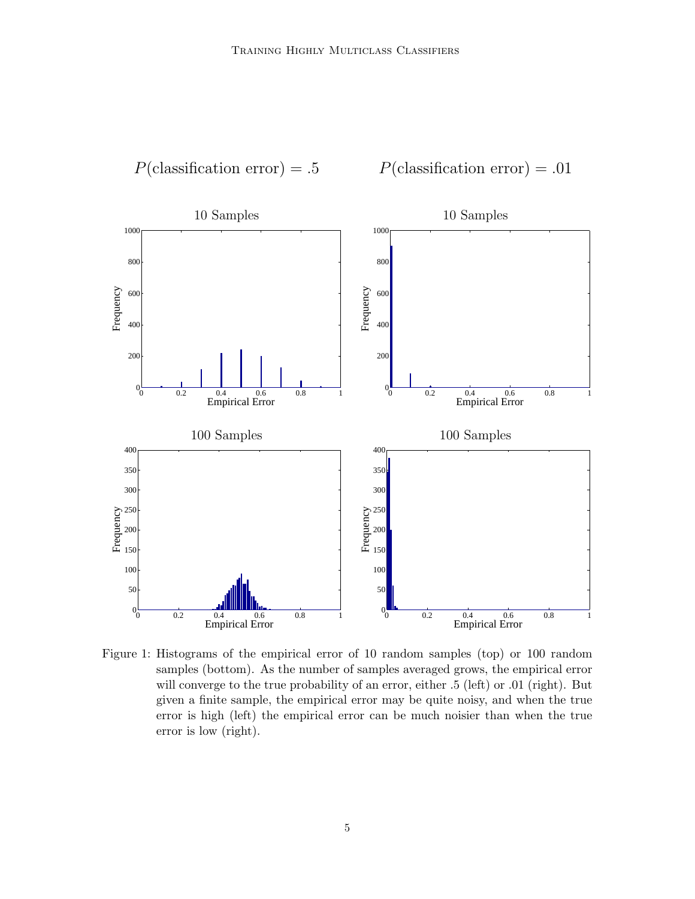

Figure 1: Histograms of the empirical error of 10 random samples (top) or 100 random samples (bottom). As the number of samples averaged grows, the empirical error will converge to the true probability of an error, either .5 (left) or .01 (right). But given a finite sample, the empirical error may be quite noisy, and when the true error is high (left) the empirical error can be much noisier than when the true error is low (right).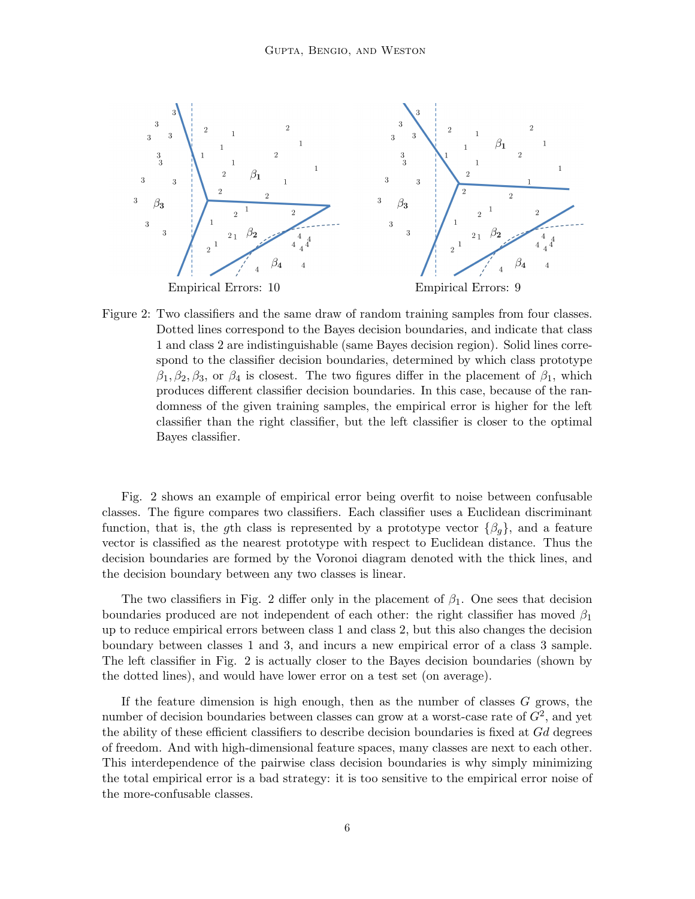

Figure 2: Two classifiers and the same draw of random training samples from four classes. Dotted lines correspond to the Bayes decision boundaries, and indicate that class 1 and class 2 are indistinguishable (same Bayes decision region). Solid lines correspond to the classifier decision boundaries, determined by which class prototype  $\beta_1, \beta_2, \beta_3$ , or  $\beta_4$  is closest. The two figures differ in the placement of  $\beta_1$ , which produces different classifier decision boundaries. In this case, because of the randomness of the given training samples, the empirical error is higher for the left classifier than the right classifier, but the left classifier is closer to the optimal Bayes classifier.

Fig. 2 shows an example of empirical error being overfit to noise between confusable classes. The figure compares two classifiers. Each classifier uses a Euclidean discriminant function, that is, the gth class is represented by a prototype vector  $\{\beta_g\}$ , and a feature vector is classified as the nearest prototype with respect to Euclidean distance. Thus the decision boundaries are formed by the Voronoi diagram denoted with the thick lines, and the decision boundary between any two classes is linear.

The two classifiers in Fig. 2 differ only in the placement of  $\beta_1$ . One sees that decision boundaries produced are not independent of each other: the right classifier has moved  $\beta_1$ up to reduce empirical errors between class 1 and class 2, but this also changes the decision boundary between classes 1 and 3, and incurs a new empirical error of a class 3 sample. The left classifier in Fig. 2 is actually closer to the Bayes decision boundaries (shown by the dotted lines), and would have lower error on a test set (on average).

If the feature dimension is high enough, then as the number of classes  $G$  grows, the number of decision boundaries between classes can grow at a worst-case rate of  $G^2$ , and yet the ability of these efficient classifiers to describe decision boundaries is fixed at Gd degrees of freedom. And with high-dimensional feature spaces, many classes are next to each other. This interdependence of the pairwise class decision boundaries is why simply minimizing the total empirical error is a bad strategy: it is too sensitive to the empirical error noise of the more-confusable classes.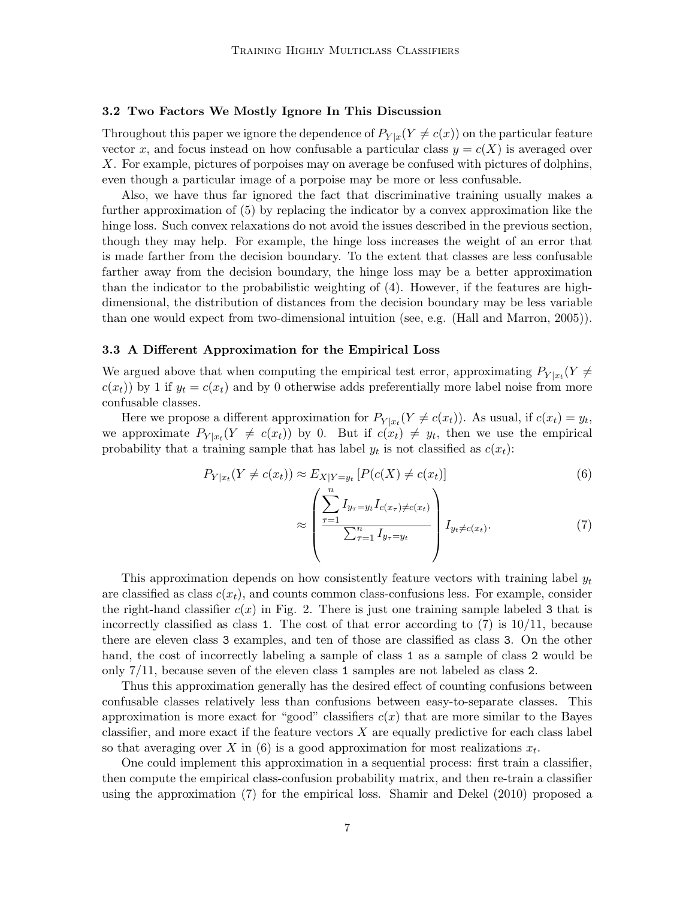#### 3.2 Two Factors We Mostly Ignore In This Discussion

Throughout this paper we ignore the dependence of  $P_{Y|x}(Y \neq c(x))$  on the particular feature vector x, and focus instead on how confusable a particular class  $y = c(X)$  is averaged over X. For example, pictures of porpoises may on average be confused with pictures of dolphins, even though a particular image of a porpoise may be more or less confusable.

Also, we have thus far ignored the fact that discriminative training usually makes a further approximation of (5) by replacing the indicator by a convex approximation like the hinge loss. Such convex relaxations do not avoid the issues described in the previous section, though they may help. For example, the hinge loss increases the weight of an error that is made farther from the decision boundary. To the extent that classes are less confusable farther away from the decision boundary, the hinge loss may be a better approximation than the indicator to the probabilistic weighting of (4). However, if the features are highdimensional, the distribution of distances from the decision boundary may be less variable than one would expect from two-dimensional intuition (see, e.g. (Hall and Marron, 2005)).

#### 3.3 A Different Approximation for the Empirical Loss

We argued above that when computing the empirical test error, approximating  $P_{Y|x_t}(Y \neq 0)$  $c(x_t)$ ) by 1 if  $y_t = c(x_t)$  and by 0 otherwise adds preferentially more label noise from more confusable classes.

Here we propose a different approximation for  $P_{Y|x_t}(Y \neq c(x_t))$ . As usual, if  $c(x_t) = y_t$ , we approximate  $P_{Y|x_t}(Y \neq c(x_t))$  by 0. But if  $c(x_t) \neq y_t$ , then we use the empirical probability that a training sample that has label  $y_t$  is not classified as  $c(x_t)$ :

$$
P_{Y|x_t}(Y \neq c(x_t)) \approx E_{X|Y=y_t} \left[ P(c(X) \neq c(x_t)) \right]
$$
\n
$$
(6)
$$

$$
\approx \left(\frac{\sum_{\tau=1}^{n} I_{y_{\tau}=y_{t}} I_{c(x_{\tau})\neq c(x_{t})}}{\sum_{\tau=1}^{n} I_{y_{\tau}=y_{t}}}\right) I_{y_{t}\neq c(x_{t})}.
$$
\n(7)

This approximation depends on how consistently feature vectors with training label  $y_t$ are classified as class  $c(x_t)$ , and counts common class-confusions less. For example, consider the right-hand classifier  $c(x)$  in Fig. 2. There is just one training sample labeled 3 that is incorrectly classified as class 1. The cost of that error according to  $(7)$  is  $10/11$ , because there are eleven class 3 examples, and ten of those are classified as class 3. On the other hand, the cost of incorrectly labeling a sample of class 1 as a sample of class 2 would be only 7/11, because seven of the eleven class 1 samples are not labeled as class 2.

Thus this approximation generally has the desired effect of counting confusions between confusable classes relatively less than confusions between easy-to-separate classes. This approximation is more exact for "good" classifiers  $c(x)$  that are more similar to the Bayes classifier, and more exact if the feature vectors  $X$  are equally predictive for each class label so that averaging over X in (6) is a good approximation for most realizations  $x_t$ .

One could implement this approximation in a sequential process: first train a classifier, then compute the empirical class-confusion probability matrix, and then re-train a classifier using the approximation (7) for the empirical loss. Shamir and Dekel (2010) proposed a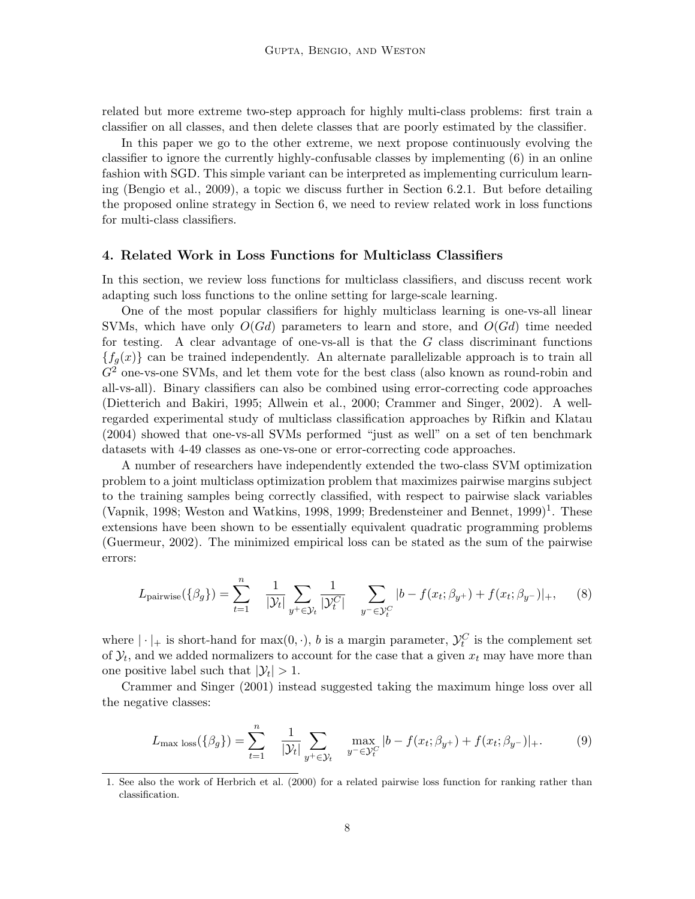related but more extreme two-step approach for highly multi-class problems: first train a classifier on all classes, and then delete classes that are poorly estimated by the classifier.

In this paper we go to the other extreme, we next propose continuously evolving the classifier to ignore the currently highly-confusable classes by implementing (6) in an online fashion with SGD. This simple variant can be interpreted as implementing curriculum learning (Bengio et al., 2009), a topic we discuss further in Section 6.2.1. But before detailing the proposed online strategy in Section 6, we need to review related work in loss functions for multi-class classifiers.

# 4. Related Work in Loss Functions for Multiclass Classifiers

In this section, we review loss functions for multiclass classifiers, and discuss recent work adapting such loss functions to the online setting for large-scale learning.

One of the most popular classifiers for highly multiclass learning is one-vs-all linear SVMs, which have only  $O(Gd)$  parameters to learn and store, and  $O(Gd)$  time needed for testing. A clear advantage of one-vs-all is that the  $G$  class discriminant functions  ${f<sub>g</sub>(x)}$  can be trained independently. An alternate parallelizable approach is to train all  $G<sup>2</sup>$  one-vs-one SVMs, and let them vote for the best class (also known as round-robin and all-vs-all). Binary classifiers can also be combined using error-correcting code approaches (Dietterich and Bakiri, 1995; Allwein et al., 2000; Crammer and Singer, 2002). A wellregarded experimental study of multiclass classification approaches by Rifkin and Klatau (2004) showed that one-vs-all SVMs performed "just as well" on a set of ten benchmark datasets with 4-49 classes as one-vs-one or error-correcting code approaches.

A number of researchers have independently extended the two-class SVM optimization problem to a joint multiclass optimization problem that maximizes pairwise margins subject to the training samples being correctly classified, with respect to pairwise slack variables (Vapnik, 1998; Weston and Watkins, 1998, 1999; Bredensteiner and Bennet,  $1999$ )<sup>1</sup>. These extensions have been shown to be essentially equivalent quadratic programming problems (Guermeur, 2002). The minimized empirical loss can be stated as the sum of the pairwise errors:

$$
L_{\text{pairwise}}(\{\beta_g\}) = \sum_{t=1}^n \frac{1}{|\mathcal{Y}_t|} \sum_{y^+ \in \mathcal{Y}_t} \frac{1}{|\mathcal{Y}_t^C|} \sum_{y^- \in \mathcal{Y}_t^C} |b - f(x_t; \beta_{y^+}) + f(x_t; \beta_{y^-})|_+, \quad (8)
$$

where  $|\cdot|_+$  is short-hand for  $\max(0, \cdot)$ , b is a margin parameter,  $\mathcal{Y}_t^C$  is the complement set of  $\mathcal{Y}_t$ , and we added normalizers to account for the case that a given  $x_t$  may have more than one positive label such that  $|\mathcal{Y}_t| > 1$ .

Crammer and Singer (2001) instead suggested taking the maximum hinge loss over all the negative classes:

$$
L_{\max} \log(\{\beta_g\}) = \sum_{t=1}^n \frac{1}{|\mathcal{Y}_t|} \sum_{y^+ \in \mathcal{Y}_t} \max_{y^- \in \mathcal{Y}_t^C} |b - f(x_t; \beta_{y^+}) + f(x_t; \beta_{y^-})|_+. \tag{9}
$$

<sup>1.</sup> See also the work of Herbrich et al. (2000) for a related pairwise loss function for ranking rather than classification.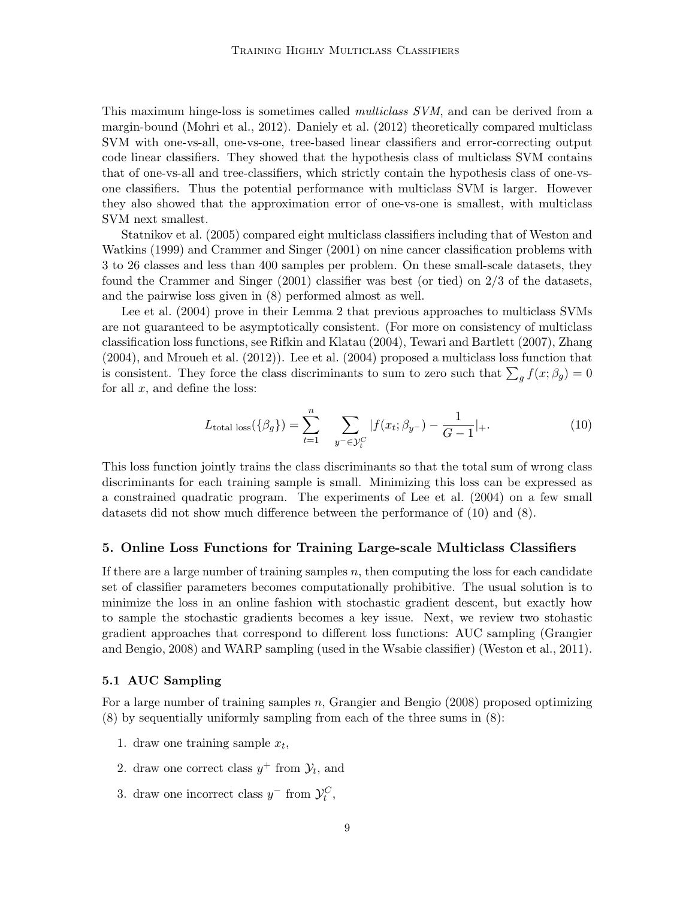This maximum hinge-loss is sometimes called *multiclass SVM*, and can be derived from a margin-bound (Mohri et al., 2012). Daniely et al. (2012) theoretically compared multiclass SVM with one-vs-all, one-vs-one, tree-based linear classifiers and error-correcting output code linear classifiers. They showed that the hypothesis class of multiclass SVM contains that of one-vs-all and tree-classifiers, which strictly contain the hypothesis class of one-vsone classifiers. Thus the potential performance with multiclass SVM is larger. However they also showed that the approximation error of one-vs-one is smallest, with multiclass SVM next smallest.

Statnikov et al. (2005) compared eight multiclass classifiers including that of Weston and Watkins (1999) and Crammer and Singer (2001) on nine cancer classification problems with 3 to 26 classes and less than 400 samples per problem. On these small-scale datasets, they found the Crammer and Singer (2001) classifier was best (or tied) on 2/3 of the datasets, and the pairwise loss given in (8) performed almost as well.

Lee et al. (2004) prove in their Lemma 2 that previous approaches to multiclass SVMs are not guaranteed to be asymptotically consistent. (For more on consistency of multiclass classification loss functions, see Rifkin and Klatau (2004), Tewari and Bartlett (2007), Zhang (2004), and Mroueh et al. (2012)). Lee et al. (2004) proposed a multiclass loss function that is consistent. They force the class discriminants to sum to zero such that  $\sum_{g} f(x; \beta_g) = 0$ for all  $x$ , and define the loss:

$$
L_{\text{total loss}}(\{\beta_g\}) = \sum_{t=1}^{n} \sum_{y^- \in \mathcal{Y}_t^C} |f(x_t; \beta_{y^-}) - \frac{1}{G-1}|_+.
$$
 (10)

This loss function jointly trains the class discriminants so that the total sum of wrong class discriminants for each training sample is small. Minimizing this loss can be expressed as a constrained quadratic program. The experiments of Lee et al. (2004) on a few small datasets did not show much difference between the performance of (10) and (8).

#### 5. Online Loss Functions for Training Large-scale Multiclass Classifiers

If there are a large number of training samples  $n$ , then computing the loss for each candidate set of classifier parameters becomes computationally prohibitive. The usual solution is to minimize the loss in an online fashion with stochastic gradient descent, but exactly how to sample the stochastic gradients becomes a key issue. Next, we review two stohastic gradient approaches that correspond to different loss functions: AUC sampling (Grangier and Bengio, 2008) and WARP sampling (used in the Wsabie classifier) (Weston et al., 2011).

## 5.1 AUC Sampling

For a large number of training samples n, Grangier and Bengio  $(2008)$  proposed optimizing (8) by sequentially uniformly sampling from each of the three sums in (8):

- 1. draw one training sample  $x_t$ ,
- 2. draw one correct class  $y^+$  from  $\mathcal{Y}_t$ , and
- 3. draw one incorrect class  $y^-$  from  $\mathcal{Y}_t^C$ ,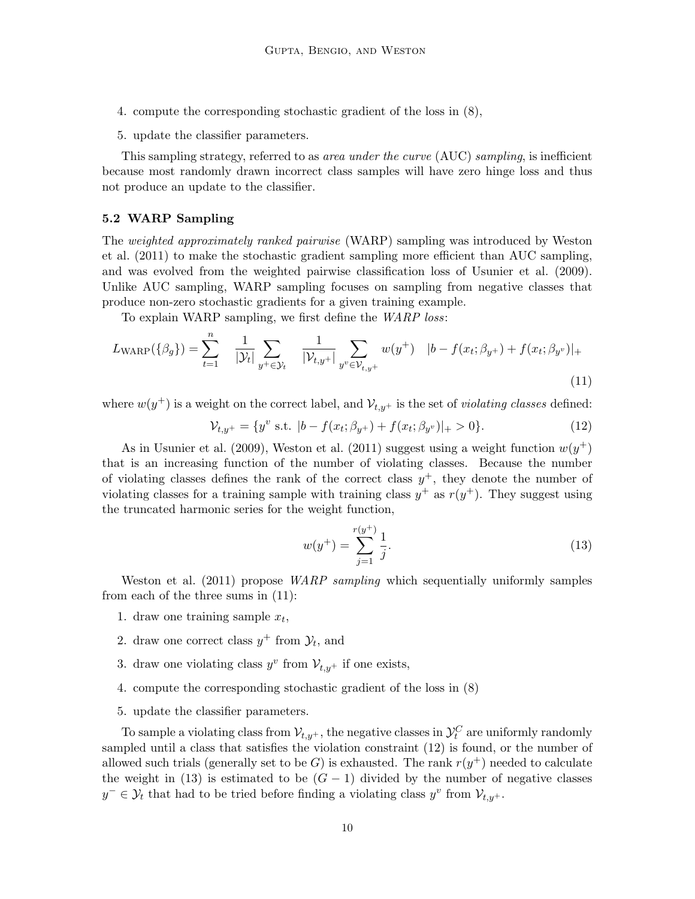- 4. compute the corresponding stochastic gradient of the loss in (8),
- 5. update the classifier parameters.

This sampling strategy, referred to as area under the curve (AUC) sampling, is inefficient because most randomly drawn incorrect class samples will have zero hinge loss and thus not produce an update to the classifier.

#### 5.2 WARP Sampling

The weighted approximately ranked pairwise (WARP) sampling was introduced by Weston et al. (2011) to make the stochastic gradient sampling more efficient than AUC sampling, and was evolved from the weighted pairwise classification loss of Usunier et al. (2009). Unlike AUC sampling, WARP sampling focuses on sampling from negative classes that produce non-zero stochastic gradients for a given training example.

To explain WARP sampling, we first define the WARP loss:

$$
L_{\text{WARP}}(\{\beta_g\}) = \sum_{t=1}^n \frac{1}{|\mathcal{Y}_t|} \sum_{y^+ \in \mathcal{Y}_t} \frac{1}{|\mathcal{V}_{t,y^+}|} \sum_{y^v \in \mathcal{V}_{t,y^+}} w(y^+) \quad |b - f(x_t; \beta_{y^+}) + f(x_t; \beta_{y^v})|_+ \tag{11}
$$

where  $w(y^+)$  is a weight on the correct label, and  $\mathcal{V}_{t,y^+}$  is the set of *violating classes* defined:

$$
\mathcal{V}_{t,y^{+}} = \{y^{v} \text{ s.t. } |b - f(x_t; \beta_{y^{+}}) + f(x_t; \beta_{y^{v}})|_{+} > 0\}.
$$
\n(12)

As in Usunier et al. (2009), Weston et al. (2011) suggest using a weight function  $w(y^+)$ that is an increasing function of the number of violating classes. Because the number of violating classes defines the rank of the correct class  $y^+$ , they denote the number of violating classes for a training sample with training class  $y^+$  as  $r(y^+)$ . They suggest using the truncated harmonic series for the weight function,

$$
w(y^{+}) = \sum_{j=1}^{r(y^{+})} \frac{1}{j}.
$$
\n(13)

Weston et al. (2011) propose *WARP sampling* which sequentially uniformly samples from each of the three sums in (11):

- 1. draw one training sample  $x_t$ ,
- 2. draw one correct class  $y^+$  from  $\mathcal{Y}_t$ , and
- 3. draw one violating class  $y^v$  from  $\mathcal{V}_{t,y^+}$  if one exists,
- 4. compute the corresponding stochastic gradient of the loss in (8)
- 5. update the classifier parameters.

To sample a violating class from  $\mathcal{V}_{t,y^+},$  the negative classes in  $\mathcal{Y}^C_t$  are uniformly randomly sampled until a class that satisfies the violation constraint (12) is found, or the number of allowed such trials (generally set to be G) is exhausted. The rank  $r(y^+)$  needed to calculate the weight in (13) is estimated to be  $(G - 1)$  divided by the number of negative classes  $y^{-} \in \mathcal{Y}_{t}$  that had to be tried before finding a violating class  $y^{v}$  from  $\mathcal{V}_{t,y^{+}}$ .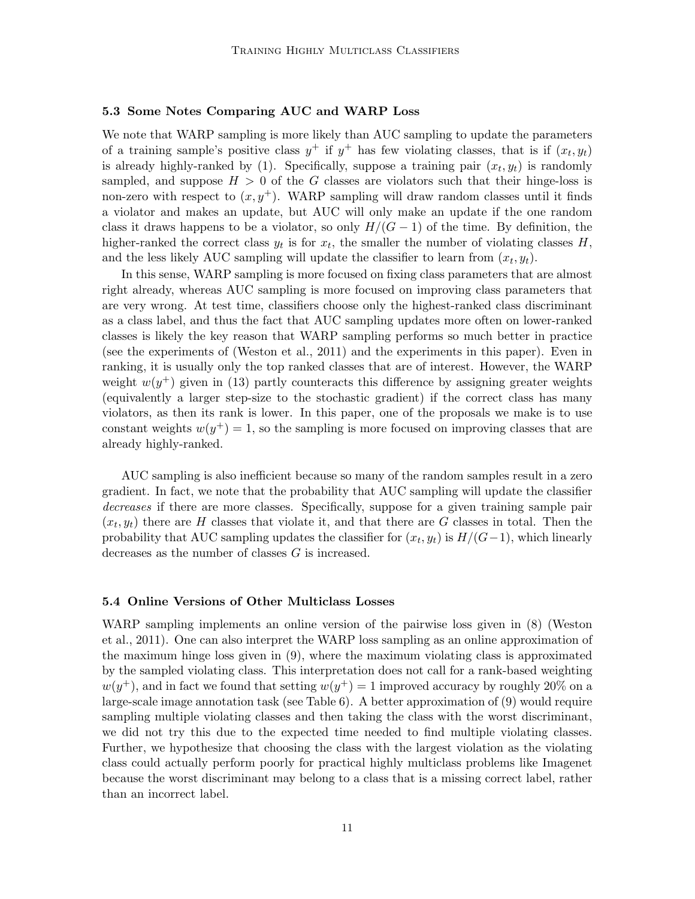### 5.3 Some Notes Comparing AUC and WARP Loss

We note that WARP sampling is more likely than AUC sampling to update the parameters of a training sample's positive class  $y^+$  if  $y^+$  has few violating classes, that is if  $(x_t, y_t)$ is already highly-ranked by (1). Specifically, suppose a training pair  $(x_t, y_t)$  is randomly sampled, and suppose  $H > 0$  of the G classes are violators such that their hinge-loss is non-zero with respect to  $(x, y<sup>+</sup>)$ . WARP sampling will draw random classes until it finds a violator and makes an update, but AUC will only make an update if the one random class it draws happens to be a violator, so only  $H/(G-1)$  of the time. By definition, the higher-ranked the correct class  $y_t$  is for  $x_t$ , the smaller the number of violating classes  $H$ , and the less likely AUC sampling will update the classifier to learn from  $(x_t, y_t)$ .

In this sense, WARP sampling is more focused on fixing class parameters that are almost right already, whereas AUC sampling is more focused on improving class parameters that are very wrong. At test time, classifiers choose only the highest-ranked class discriminant as a class label, and thus the fact that AUC sampling updates more often on lower-ranked classes is likely the key reason that WARP sampling performs so much better in practice (see the experiments of (Weston et al., 2011) and the experiments in this paper). Even in ranking, it is usually only the top ranked classes that are of interest. However, the WARP weight  $w(y^+)$  given in (13) partly counteracts this difference by assigning greater weights (equivalently a larger step-size to the stochastic gradient) if the correct class has many violators, as then its rank is lower. In this paper, one of the proposals we make is to use constant weights  $w(y^+) = 1$ , so the sampling is more focused on improving classes that are already highly-ranked.

AUC sampling is also inefficient because so many of the random samples result in a zero gradient. In fact, we note that the probability that AUC sampling will update the classifier decreases if there are more classes. Specifically, suppose for a given training sample pair  $(x_t, y_t)$  there are H classes that violate it, and that there are G classes in total. Then the probability that AUC sampling updates the classifier for  $(x_t, y_t)$  is  $H/(G-1)$ , which linearly decreases as the number of classes G is increased.

#### 5.4 Online Versions of Other Multiclass Losses

WARP sampling implements an online version of the pairwise loss given in (8) (Weston et al., 2011). One can also interpret the WARP loss sampling as an online approximation of the maximum hinge loss given in (9), where the maximum violating class is approximated by the sampled violating class. This interpretation does not call for a rank-based weighting  $w(y^+)$ , and in fact we found that setting  $w(y^+) = 1$  improved accuracy by roughly 20% on a large-scale image annotation task (see Table 6). A better approximation of (9) would require sampling multiple violating classes and then taking the class with the worst discriminant, we did not try this due to the expected time needed to find multiple violating classes. Further, we hypothesize that choosing the class with the largest violation as the violating class could actually perform poorly for practical highly multiclass problems like Imagenet because the worst discriminant may belong to a class that is a missing correct label, rather than an incorrect label.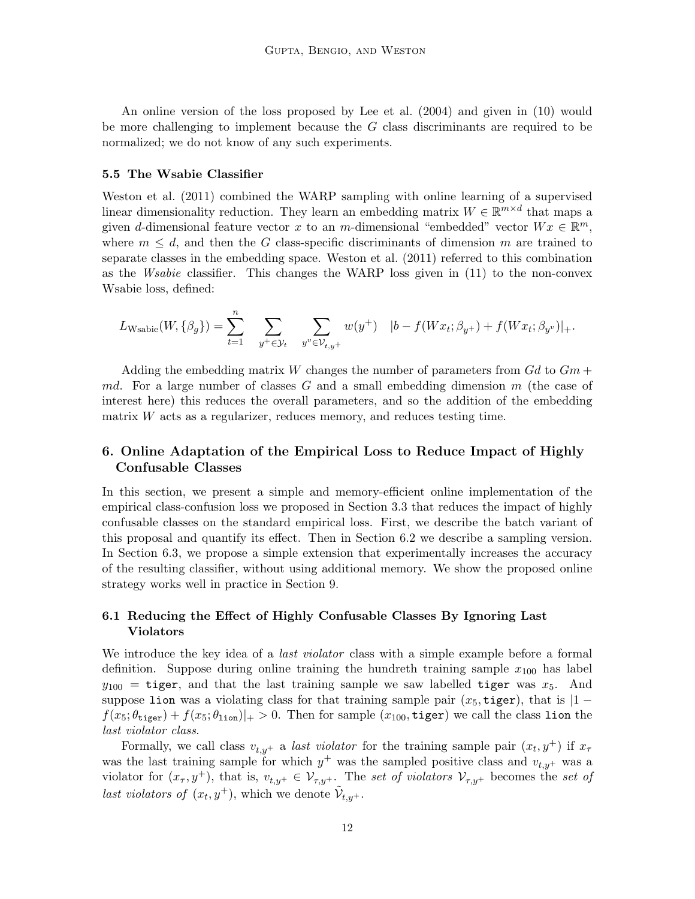An online version of the loss proposed by Lee et al. (2004) and given in (10) would be more challenging to implement because the G class discriminants are required to be normalized; we do not know of any such experiments.

#### 5.5 The Wsabie Classifier

Weston et al. (2011) combined the WARP sampling with online learning of a supervised linear dimensionality reduction. They learn an embedding matrix  $W \in \mathbb{R}^{m \times d}$  that maps a given d-dimensional feature vector x to an m-dimensional "embedded" vector  $Wx \in \mathbb{R}^m$ , where  $m \leq d$ , and then the G class-specific discriminants of dimension m are trained to separate classes in the embedding space. Weston et al. (2011) referred to this combination as the Wsabie classifier. This changes the WARP loss given in (11) to the non-convex Wsabie loss, defined:

$$
L_{\text{Wsable}}(W, \{\beta_g\}) = \sum_{t=1}^n \sum_{y^+ \in \mathcal{Y}_t} \sum_{y^v \in \mathcal{V}_{t,y^+}} w(y^+) \quad |b - f(Wx_t; \beta_{y^+}) + f(Wx_t; \beta_{y^v})|_+.
$$

Adding the embedding matrix W changes the number of parameters from  $Gd$  to  $Gm +$ md. For a large number of classes  $G$  and a small embedding dimension  $m$  (the case of interest here) this reduces the overall parameters, and so the addition of the embedding matrix  $W$  acts as a regularizer, reduces memory, and reduces testing time.

# 6. Online Adaptation of the Empirical Loss to Reduce Impact of Highly Confusable Classes

In this section, we present a simple and memory-efficient online implementation of the empirical class-confusion loss we proposed in Section 3.3 that reduces the impact of highly confusable classes on the standard empirical loss. First, we describe the batch variant of this proposal and quantify its effect. Then in Section 6.2 we describe a sampling version. In Section 6.3, we propose a simple extension that experimentally increases the accuracy of the resulting classifier, without using additional memory. We show the proposed online strategy works well in practice in Section 9.

# 6.1 Reducing the Effect of Highly Confusable Classes By Ignoring Last Violators

We introduce the key idea of a *last violator* class with a simple example before a formal definition. Suppose during online training the hundreth training sample  $x_{100}$  has label  $y_{100}$  = tiger, and that the last training sample we saw labelled tiger was  $x_5$ . And suppose lion was a violating class for that training sample pair  $(x_5, \text{tiger})$ , that is  $|1$  $f(x_5; \theta_{\text{tiger}}) + f(x_5; \theta_{\text{tion}})|_+ > 0$ . Then for sample  $(x_{100}, \text{tiger})$  we call the class lion the last violator class.

Formally, we call class  $v_{t,y+}$  a *last violator* for the training sample pair  $(x_t, y^+)$  if  $x_\tau$ was the last training sample for which  $y^+$  was the sampled positive class and  $v_{t,y^+}$  was a violator for  $(x_\tau, y^+)$ , that is,  $v_{t,y^+} \in \mathcal{V}_{\tau,y^+}$ . The set of violators  $\mathcal{V}_{\tau,y^+}$  becomes the set of last violators of  $(x_t, y^+)$ , which we denote  $\tilde{\mathcal{V}}_{t,y^+}$ .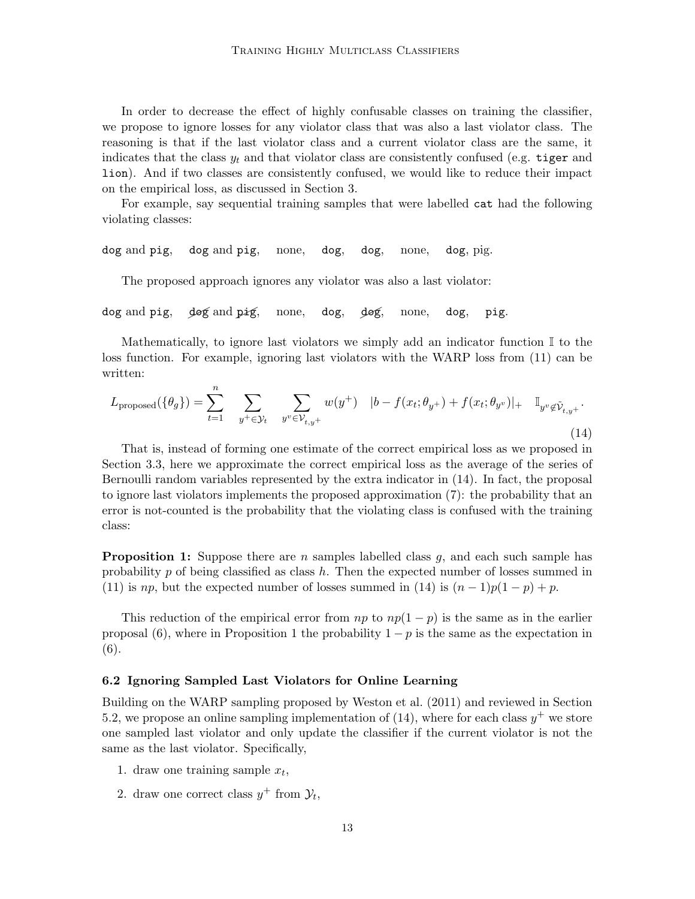In order to decrease the effect of highly confusable classes on training the classifier, we propose to ignore losses for any violator class that was also a last violator class. The reasoning is that if the last violator class and a current violator class are the same, it indicates that the class  $y_t$  and that violator class are consistently confused (e.g. tiger and lion). And if two classes are consistently confused, we would like to reduce their impact on the empirical loss, as discussed in Section 3.

For example, say sequential training samples that were labelled cat had the following violating classes:

dog and pig, dog and pig, none, dog, dog, none, dog, pig.

The proposed approach ignores any violator was also a last violator:

dog and pig, dog and pig, none, dog, dog, none, dog, pig.

Mathematically, to ignore last violators we simply add an indicator function  $\mathbb I$  to the loss function. For example, ignoring last violators with the WARP loss from (11) can be written:

$$
L_{\text{proposed}}(\{\theta_g\}) = \sum_{t=1}^{n} \sum_{y^+ \in \mathcal{Y}_t} \sum_{y^v \in \mathcal{V}_{t,y^+}} w(y^+) \quad |b - f(x_t; \theta_{y^+}) + f(x_t; \theta_{y^v})|_+ \quad \mathbb{I}_{y^v \notin \mathcal{V}_{t,y^+}}.
$$
\n(14)

That is, instead of forming one estimate of the correct empirical loss as we proposed in Section 3.3, here we approximate the correct empirical loss as the average of the series of Bernoulli random variables represented by the extra indicator in (14). In fact, the proposal to ignore last violators implements the proposed approximation (7): the probability that an error is not-counted is the probability that the violating class is confused with the training class:

**Proposition 1:** Suppose there are n samples labelled class  $q$ , and each such sample has probability p of being classified as class h. Then the expected number of losses summed in (11) is np, but the expected number of losses summed in (14) is  $(n-1)p(1-p) + p$ .

This reduction of the empirical error from  $np$  to  $np(1-p)$  is the same as in the earlier proposal (6), where in Proposition 1 the probability  $1 - p$  is the same as the expectation in (6).

#### 6.2 Ignoring Sampled Last Violators for Online Learning

Building on the WARP sampling proposed by Weston et al. (2011) and reviewed in Section 5.2, we propose an online sampling implementation of (14), where for each class  $y^+$  we store one sampled last violator and only update the classifier if the current violator is not the same as the last violator. Specifically,

- 1. draw one training sample  $x_t$ ,
- 2. draw one correct class  $y^+$  from  $\mathcal{Y}_t$ ,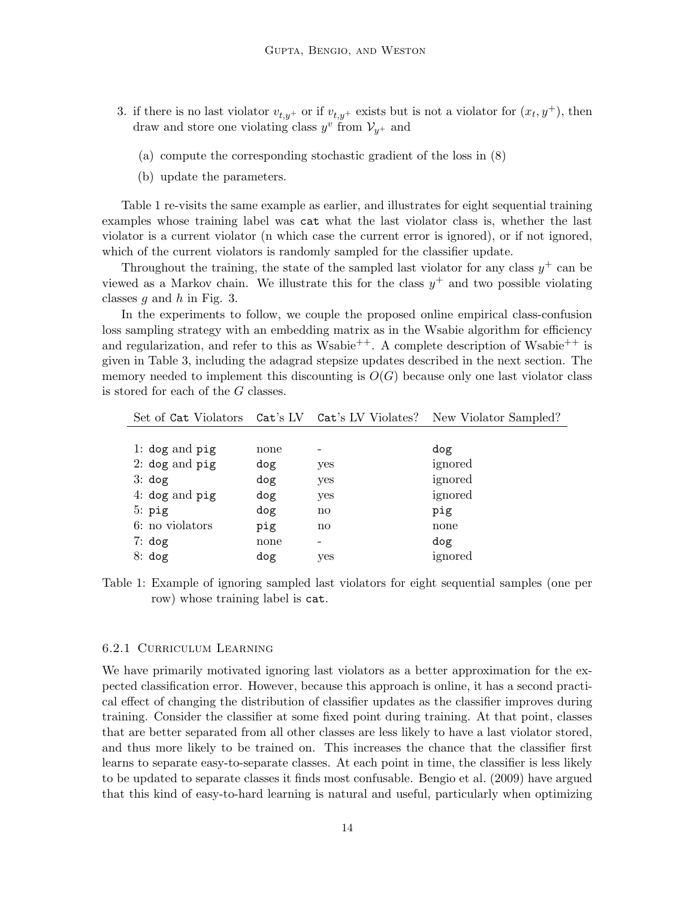- 3. if there is no last violator  $v_{t,y+}$  or if  $v_{t,y+}$  exists but is not a violator for  $(x_t, y^+)$ , then draw and store one violating class  $y^v$  from  $\mathcal{V}_{y^+}$  and
	- (a) compute the corresponding stochastic gradient of the loss in (8)
	- (b) update the parameters.

Table 1 re-visits the same example as earlier, and illustrates for eight sequential training examples whose training label was cat what the last violator class is, whether the last violator is a current violator (n which case the current error is ignored), or if not ignored, which of the current violators is randomly sampled for the classifier update.

Throughout the training, the state of the sampled last violator for any class  $y^+$  can be viewed as a Markov chain. We illustrate this for the class  $y^+$  and two possible violating classes  $q$  and  $h$  in Fig. 3.

In the experiments to follow, we couple the proposed online empirical class-confusion loss sampling strategy with an embedding matrix as in the Wsabie algorithm for efficiency and regularization, and refer to this as Wsabie<sup>++</sup>. A complete description of Wsabie<sup>++</sup> is given in Table 3, including the adagrad stepsize updates described in the next section. The memory needed to implement this discounting is  $O(G)$  because only one last violator class is stored for each of the G classes.

|                        |      |                        | Set of Cat Violators Cat's LV Cat's LV Violates? New Violator Sampled? |
|------------------------|------|------------------------|------------------------------------------------------------------------|
|                        |      |                        |                                                                        |
| 1: $\deg$ and $\pi$ ig | none |                        | dog                                                                    |
| 2: $dog$ and $pig$     | dog  | yes                    | ignored                                                                |
| 3: dog                 | dog  | yes                    | ignored                                                                |
| 4: $\log$ and $\pi$    | dog  | yes                    | ignored                                                                |
| $5:$ pig               | dog  | $\mathbf{n}\mathbf{o}$ | pig                                                                    |
| 6: no violators        | pig  | $\mathbf{n}\mathbf{o}$ | none                                                                   |
| 7: dog                 | none |                        | dog                                                                    |
| 8: dog                 | dog  | yes                    | ignored                                                                |

Table 1: Example of ignoring sampled last violators for eight sequential samples (one per row) whose training label is cat.

### 6.2.1 Curriculum Learning

We have primarily motivated ignoring last violators as a better approximation for the expected classification error. However, because this approach is online, it has a second practical effect of changing the distribution of classifier updates as the classifier improves during training. Consider the classifier at some fixed point during training. At that point, classes that are better separated from all other classes are less likely to have a last violator stored, and thus more likely to be trained on. This increases the chance that the classifier first learns to separate easy-to-separate classes. At each point in time, the classifier is less likely to be updated to separate classes it finds most confusable. Bengio et al. (2009) have argued that this kind of easy-to-hard learning is natural and useful, particularly when optimizing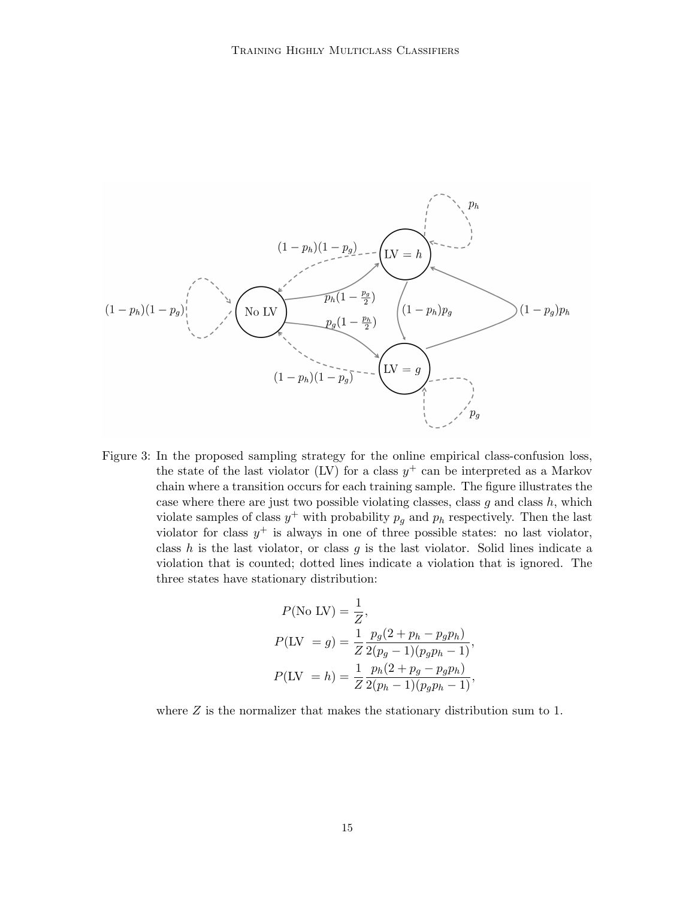

Figure 3: In the proposed sampling strategy for the online empirical class-confusion loss, the state of the last violator (LV) for a class  $y^{+}$  can be interpreted as a Markov chain where a transition occurs for each training sample. The figure illustrates the case where there are just two possible violating classes, class  $g$  and class  $h$ , which violate samples of class  $y^+$  with probability  $p_g$  and  $p_h$  respectively. Then the last violator for class  $y^+$  is always in one of three possible states: no last violator, class  $h$  is the last violator, or class  $g$  is the last violator. Solid lines indicate a violation that is counted; dotted lines indicate a violation that is ignored. The three states have stationary distribution:

$$
P(\text{No LV}) = \frac{1}{Z},
$$
  
\n
$$
P(\text{LV } = g) = \frac{1}{Z} \frac{p_g(2 + p_h - p_g p_h)}{2(p_g - 1)(p_g p_h - 1)},
$$
  
\n
$$
P(\text{LV } = h) = \frac{1}{Z} \frac{p_h(2 + p_g - p_g p_h)}{2(p_h - 1)(p_g p_h - 1)},
$$

where  $Z$  is the normalizer that makes the stationary distribution sum to 1.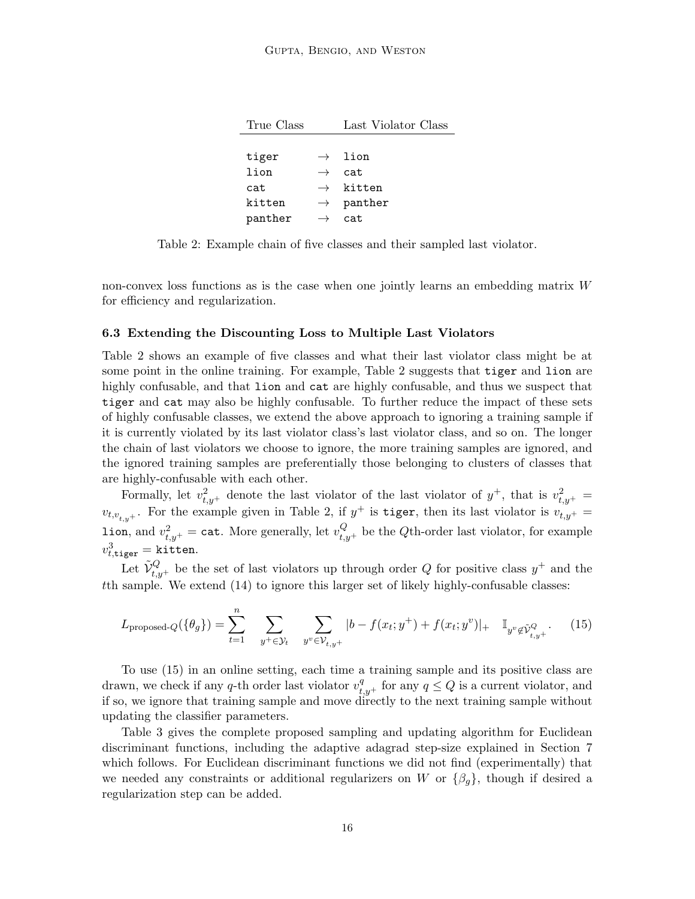| True Class |               | Last Violator Class  |
|------------|---------------|----------------------|
|            |               |                      |
| tiger      |               | $\rightarrow$ lion   |
| lion       | $\rightarrow$ | cat.                 |
| cat        |               | $\rightarrow$ kitten |
| kitten     | $\rightarrow$ | panther              |
| panther    |               | cat.                 |

Table 2: Example chain of five classes and their sampled last violator.

non-convex loss functions as is the case when one jointly learns an embedding matrix W for efficiency and regularization.

#### 6.3 Extending the Discounting Loss to Multiple Last Violators

Table 2 shows an example of five classes and what their last violator class might be at some point in the online training. For example, Table 2 suggests that tiger and lion are highly confusable, and that lion and cat are highly confusable, and thus we suspect that tiger and cat may also be highly confusable. To further reduce the impact of these sets of highly confusable classes, we extend the above approach to ignoring a training sample if it is currently violated by its last violator class's last violator class, and so on. The longer the chain of last violators we choose to ignore, the more training samples are ignored, and the ignored training samples are preferentially those belonging to clusters of classes that are highly-confusable with each other.

Formally, let  $v_{t,y+}^2$  denote the last violator of the last violator of  $y^+$ , that is  $v_{t,y+}^2 =$  $v_{t,v_{t,y}+}$ . For the example given in Table 2, if  $y^+$  is tiger, then its last violator is  $v_{t,y+}$  =  $\text{\tt lion, and}~v_{t,y^+}^2 = \text{\tt cat. More generally, let}~v_{t,y^+}^Q \text{ be the }Q\text{th-order last violation, for example}$  $v_{t, \texttt{tiger}}^3 =$ kitten.

Let  $\tilde{\mathcal{V}}_{t,y+}^Q$  be the set of last violators up through order Q for positive class  $y^+$  and the tth sample. We extend (14) to ignore this larger set of likely highly-confusable classes:

$$
L_{\text{proposed-}Q}(\{\theta_g\}) = \sum_{t=1}^n \sum_{y^+ \in \mathcal{Y}_t} \sum_{y^v \in \mathcal{V}_{t,y^+}} |b - f(x_t; y^+) + f(x_t; y^v)|_+ \quad \mathbb{I}_{y^v \notin \tilde{\mathcal{V}}_{t,y^+}^Q}.
$$
 (15)

To use (15) in an online setting, each time a training sample and its positive class are drawn, we check if any q-th order last violator  $v_{t,y+}^q$  for any  $q \leq Q$  is a current violator, and if so, we ignore that training sample and move directly to the next training sample without updating the classifier parameters.

Table 3 gives the complete proposed sampling and updating algorithm for Euclidean discriminant functions, including the adaptive adagrad step-size explained in Section 7 which follows. For Euclidean discriminant functions we did not find (experimentally) that we needed any constraints or additional regularizers on W or  $\{\beta_g\}$ , though if desired a regularization step can be added.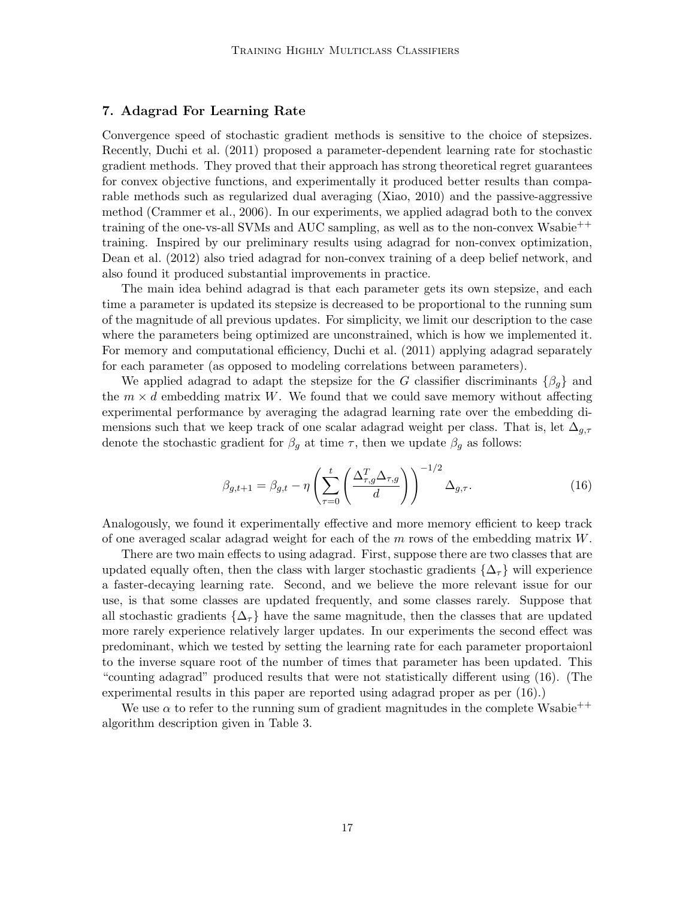## 7. Adagrad For Learning Rate

Convergence speed of stochastic gradient methods is sensitive to the choice of stepsizes. Recently, Duchi et al. (2011) proposed a parameter-dependent learning rate for stochastic gradient methods. They proved that their approach has strong theoretical regret guarantees for convex objective functions, and experimentally it produced better results than comparable methods such as regularized dual averaging (Xiao, 2010) and the passive-aggressive method (Crammer et al., 2006). In our experiments, we applied adagrad both to the convex training of the one-vs-all SVMs and AUC sampling, as well as to the non-convex Wsabie<sup>++</sup> training. Inspired by our preliminary results using adagrad for non-convex optimization, Dean et al. (2012) also tried adagrad for non-convex training of a deep belief network, and also found it produced substantial improvements in practice.

The main idea behind adagrad is that each parameter gets its own stepsize, and each time a parameter is updated its stepsize is decreased to be proportional to the running sum of the magnitude of all previous updates. For simplicity, we limit our description to the case where the parameters being optimized are unconstrained, which is how we implemented it. For memory and computational efficiency, Duchi et al. (2011) applying adagrad separately for each parameter (as opposed to modeling correlations between parameters).

We applied adagrad to adapt the stepsize for the G classifier discriminants  $\{\beta_q\}$  and the  $m \times d$  embedding matrix W. We found that we could save memory without affecting experimental performance by averaging the adagrad learning rate over the embedding dimensions such that we keep track of one scalar adagrad weight per class. That is, let  $\Delta_{g,\tau}$ denote the stochastic gradient for  $\beta_g$  at time  $\tau$ , then we update  $\beta_g$  as follows:

$$
\beta_{g,t+1} = \beta_{g,t} - \eta \left( \sum_{\tau=0}^{t} \left( \frac{\Delta_{\tau,g}^T \Delta_{\tau,g}}{d} \right) \right)^{-1/2} \Delta_{g,\tau}.
$$
 (16)

Analogously, we found it experimentally effective and more memory efficient to keep track of one averaged scalar adagrad weight for each of the  $m$  rows of the embedding matrix  $W$ .

There are two main effects to using adagrad. First, suppose there are two classes that are updated equally often, then the class with larger stochastic gradients  $\{\Delta_{\tau}\}\$  will experience a faster-decaying learning rate. Second, and we believe the more relevant issue for our use, is that some classes are updated frequently, and some classes rarely. Suppose that all stochastic gradients  $\{\Delta_{\tau}\}\$  have the same magnitude, then the classes that are updated more rarely experience relatively larger updates. In our experiments the second effect was predominant, which we tested by setting the learning rate for each parameter proportaionl to the inverse square root of the number of times that parameter has been updated. This "counting adagrad" produced results that were not statistically different using (16). (The experimental results in this paper are reported using adagrad proper as per (16).)

We use  $\alpha$  to refer to the running sum of gradient magnitudes in the complete Wsabie<sup>++</sup> algorithm description given in Table 3.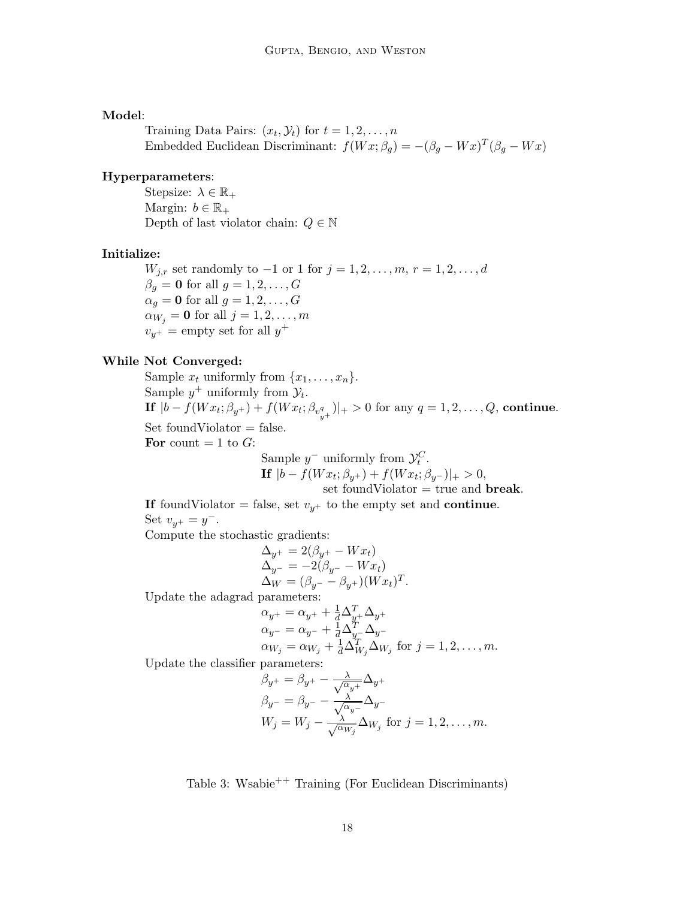### Model:

Training Data Pairs:  $(x_t, \mathcal{Y}_t)$  for  $t = 1, 2, \ldots, n$ Embedded Euclidean Discriminant:  $f(Wx; \beta_g) = -(\beta_g - Wx)^T(\beta_g - Wx)$ 

#### Hyperparameters:

Stepsize:  $\lambda \in \mathbb{R}_+$ Margin:  $b \in \mathbb{R}_+$ Depth of last violator chain:  $Q \in \mathbb{N}$ 

#### Initialize:

 $W_{j,r}$  set randomly to  $-1$  or 1 for  $j = 1, 2, ..., m, r = 1, 2, ..., d$  $\beta_q = \mathbf{0}$  for all  $g = 1, 2, \dots, G$  $\alpha_q = \mathbf{0}$  for all  $g = 1, 2, \ldots, G$  $\alpha_{W_j} = \mathbf{0}$  for all  $j = 1, 2, \ldots, m$  $v_{y^+}$  = empty set for all  $y^+$ 

### While Not Converged:

Sample  $x_t$  uniformly from  $\{x_1, \ldots, x_n\}$ . Sample  $y^+$  uniformly from  $\mathcal{Y}_t$ .  $\textbf{If} \,\, |b-f(Wx_{t};\beta_{y^{+}})+f(Wx_{t};\beta_{v_{y^{+}}^{q}})|_{+}>0 \,\, \text{for any} \,\, q=1,2,\ldots,Q, \, \textbf{continue}.$  $Set foundViolator = false.$ For count  $= 1$  to  $G$ : Sample  $y^-$  uniformly from  $\mathcal{Y}_t^C$ .

$$
|b - f(Wx_t; \beta_{y^+}) + f(Wx_t; \beta_{y^-})|_+ > 0,
$$

set foundViolator  $=$  true and **break**.

.

If foundViolator = false, set  $v_{y+}$  to the empty set and continue. Set  $v_{y^+} = y^-$ .

Compute the stochastic gradients:

 $\bf If$ 

$$
\begin{aligned} \Delta_{y^+} &= 2(\beta_{y^+} - Wx_t) \\ \Delta_{y^-} &= -2(\beta_{y^-} - Wx_t) \\ \Delta_W &= (\beta_{y^-} - \beta_{y^+}) (Wx_t)^T \end{aligned}
$$

Update the adagrad parameters:

$$
\alpha_{y^{+}} = \alpha_{y^{+}} + \frac{1}{d} \Delta_{y^{+}}^{T} \Delta_{y^{+}} \n\alpha_{y^{-}} = \alpha_{y^{-}} + \frac{1}{d} \Delta_{y^{-}}^{T} \Delta_{y^{-}} \n\alpha_{W_{j}} = \alpha_{W_{j}} + \frac{1}{d} \Delta_{W_{j}}^{T} \Delta_{W_{j}} \text{ for } j = 1, 2, ..., m.
$$

Update the classifier parameters:

$$
\beta_{y^{+}} = \beta_{y^{+}} - \frac{\lambda}{\sqrt{\alpha_{y^{+}}}} \Delta_{y^{+}}
$$
  
\n
$$
\beta_{y^{-}} = \beta_{y^{-}} - \frac{\lambda}{\sqrt{\alpha_{y^{-}}}} \Delta_{y^{-}}
$$
  
\n
$$
W_{j} = W_{j} - \frac{\lambda}{\sqrt{\alpha_{W_{j}}}} \Delta_{W_{j}} \text{ for } j = 1, 2, ..., m.
$$

Table 3: Wsabie++ Training (For Euclidean Discriminants)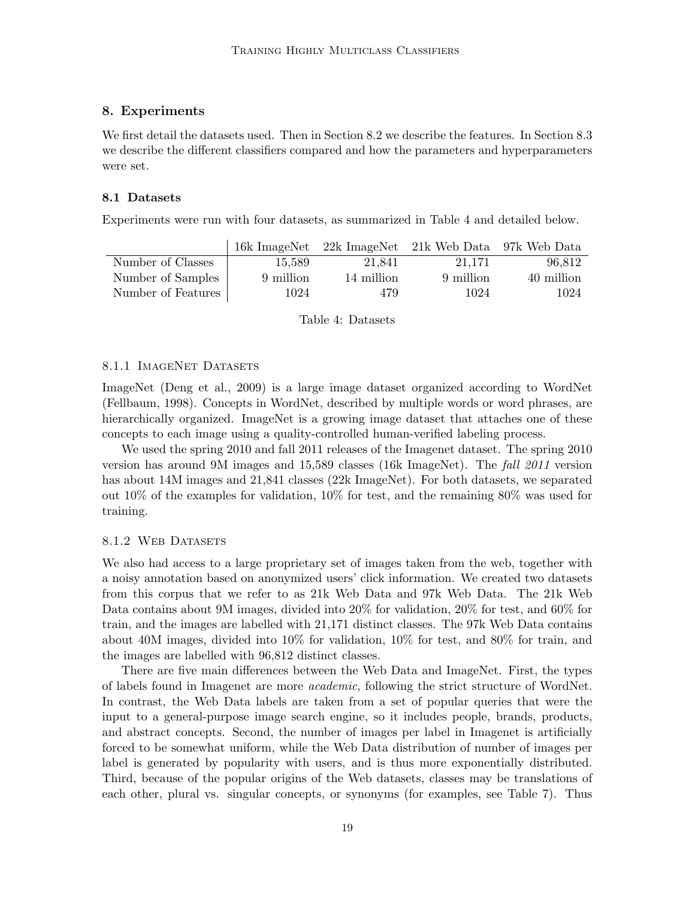# 8. Experiments

We first detail the datasets used. Then in Section 8.2 we describe the features. In Section 8.3 we describe the different classifiers compared and how the parameters and hyperparameters were set.

#### 8.1 Datasets

Experiments were run with four datasets, as summarized in Table 4 and detailed below.

|                    |           |            | 16k ImageNet 22k ImageNet 21k Web Data 97k Web Data |            |
|--------------------|-----------|------------|-----------------------------------------------------|------------|
| Number of Classes  | 15,589    | 21,841     | 21.171                                              | 96,812     |
| Number of Samples  | 9 million | 14 million | 9 million                                           | 40 million |
| Number of Features | 1024      | 479        | 1024                                                | 1024       |

Table 4: Datasets

#### 8.1.1 IMAGENET DATASETS

ImageNet (Deng et al., 2009) is a large image dataset organized according to WordNet (Fellbaum, 1998). Concepts in WordNet, described by multiple words or word phrases, are hierarchically organized. ImageNet is a growing image dataset that attaches one of these concepts to each image using a quality-controlled human-verified labeling process.

We used the spring 2010 and fall 2011 releases of the Imagenet dataset. The spring 2010 version has around 9M images and 15,589 classes (16k ImageNet). The fall 2011 version has about 14M images and 21,841 classes (22k ImageNet). For both datasets, we separated out 10% of the examples for validation, 10% for test, and the remaining 80% was used for training.

#### 8.1.2 WEB DATASETS

We also had access to a large proprietary set of images taken from the web, together with a noisy annotation based on anonymized users' click information. We created two datasets from this corpus that we refer to as 21k Web Data and 97k Web Data. The 21k Web Data contains about 9M images, divided into 20% for validation, 20% for test, and 60% for train, and the images are labelled with 21,171 distinct classes. The 97k Web Data contains about 40M images, divided into 10% for validation, 10% for test, and 80% for train, and the images are labelled with 96,812 distinct classes.

There are five main differences between the Web Data and ImageNet. First, the types of labels found in Imagenet are more academic, following the strict structure of WordNet. In contrast, the Web Data labels are taken from a set of popular queries that were the input to a general-purpose image search engine, so it includes people, brands, products, and abstract concepts. Second, the number of images per label in Imagenet is artificially forced to be somewhat uniform, while the Web Data distribution of number of images per label is generated by popularity with users, and is thus more exponentially distributed. Third, because of the popular origins of the Web datasets, classes may be translations of each other, plural vs. singular concepts, or synonyms (for examples, see Table 7). Thus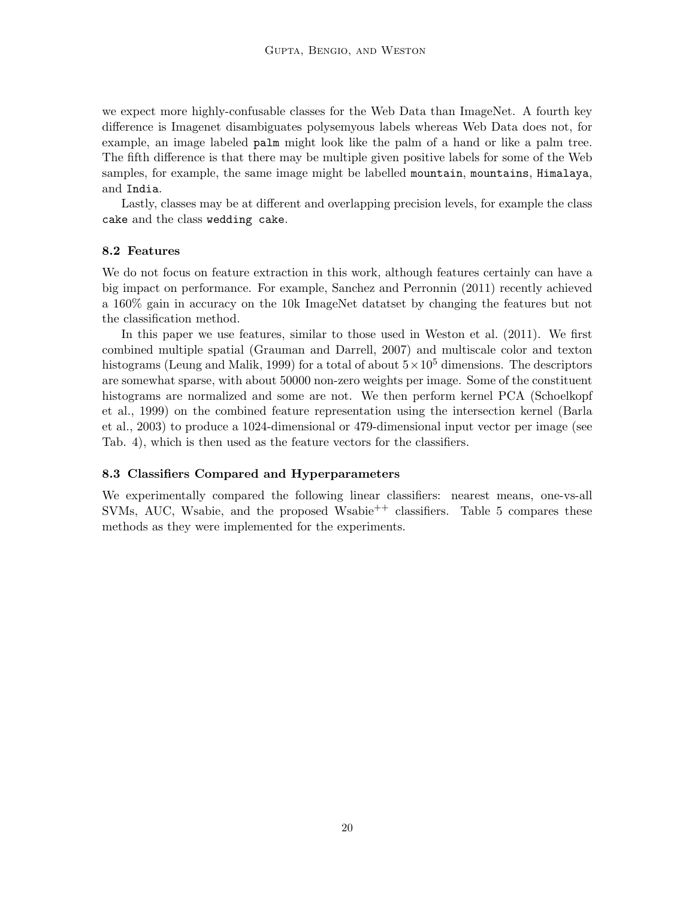we expect more highly-confusable classes for the Web Data than ImageNet. A fourth key difference is Imagenet disambiguates polysemyous labels whereas Web Data does not, for example, an image labeled palm might look like the palm of a hand or like a palm tree. The fifth difference is that there may be multiple given positive labels for some of the Web samples, for example, the same image might be labelled mountain, mountains, Himalaya, and India.

Lastly, classes may be at different and overlapping precision levels, for example the class cake and the class wedding cake.

# 8.2 Features

We do not focus on feature extraction in this work, although features certainly can have a big impact on performance. For example, Sanchez and Perronnin (2011) recently achieved a 160% gain in accuracy on the 10k ImageNet datatset by changing the features but not the classification method.

In this paper we use features, similar to those used in Weston et al. (2011). We first combined multiple spatial (Grauman and Darrell, 2007) and multiscale color and texton histograms (Leung and Malik, 1999) for a total of about  $5 \times 10^5$  dimensions. The descriptors are somewhat sparse, with about 50000 non-zero weights per image. Some of the constituent histograms are normalized and some are not. We then perform kernel PCA (Schoelkopf et al., 1999) on the combined feature representation using the intersection kernel (Barla et al., 2003) to produce a 1024-dimensional or 479-dimensional input vector per image (see Tab. 4), which is then used as the feature vectors for the classifiers.

#### 8.3 Classifiers Compared and Hyperparameters

We experimentally compared the following linear classifiers: nearest means, one-vs-all SVMs, AUC, Wsabie, and the proposed Wsabie<sup>++</sup> classifiers. Table 5 compares these methods as they were implemented for the experiments.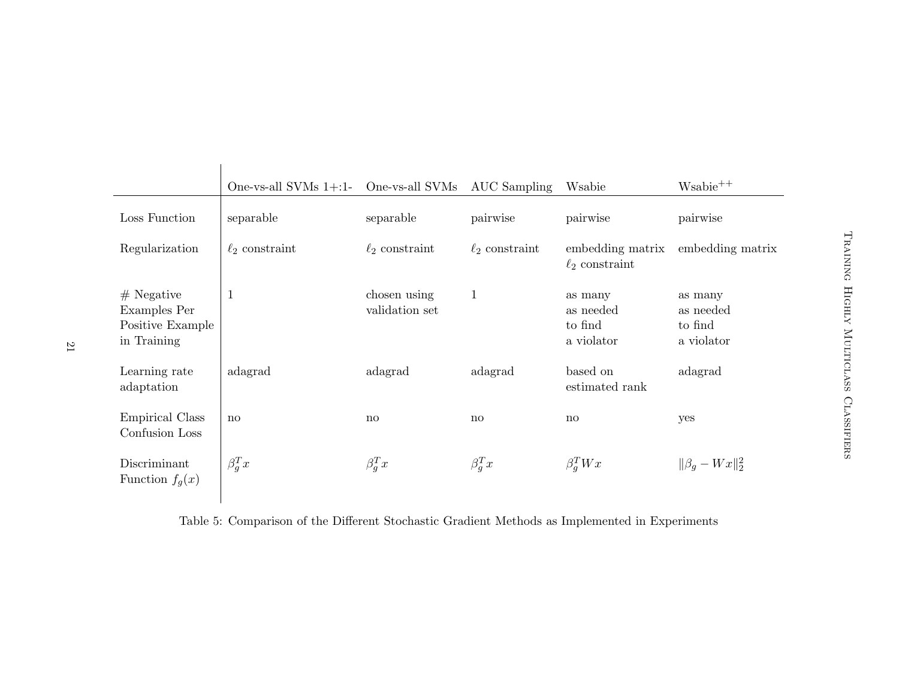|                                                                 | One-vs-all SVMs $1+1-$ | One-vs-all SVMs                | AUC Sampling        | Wsabie                                        | $W\n  +$                                      |
|-----------------------------------------------------------------|------------------------|--------------------------------|---------------------|-----------------------------------------------|-----------------------------------------------|
| Loss Function                                                   | separable              | separable                      | pairwise            | pairwise                                      | pairwise                                      |
| Regularization                                                  | $\ell_2$ constraint    | $\ell_2$ constraint            | $\ell_2$ constraint | embedding matrix<br>$\ell_2$ constraint       | embedding matrix                              |
| $#$ Negative<br>Examples Per<br>Positive Example<br>in Training | 1                      | chosen using<br>validation set | $\mathbf{1}$        | as many<br>as needed<br>to find<br>a violator | as many<br>as needed<br>to find<br>a violator |
| Learning rate<br>adaptation                                     | adagrad                | adagrad                        | adagrad             | based on<br>estimated rank                    | adagrad                                       |
| <b>Empirical Class</b><br>Confusion Loss                        | $\mathbf{n}$           | $\mathbf{n}$                   | $\mathbf{n}$        | $\mathbf{n}$                                  | yes                                           |
| Discriminant<br>Function $f_q(x)$                               | $\beta_q^T x$          | $\beta_q^T x$                  | $\beta_q^T x$       | $\beta_q^T W x$                               | $\ \beta_a - Wx\ _2^2$                        |

Table 5: Comparison of the Different Stochastic Gradient Methods as Implemented in Experiments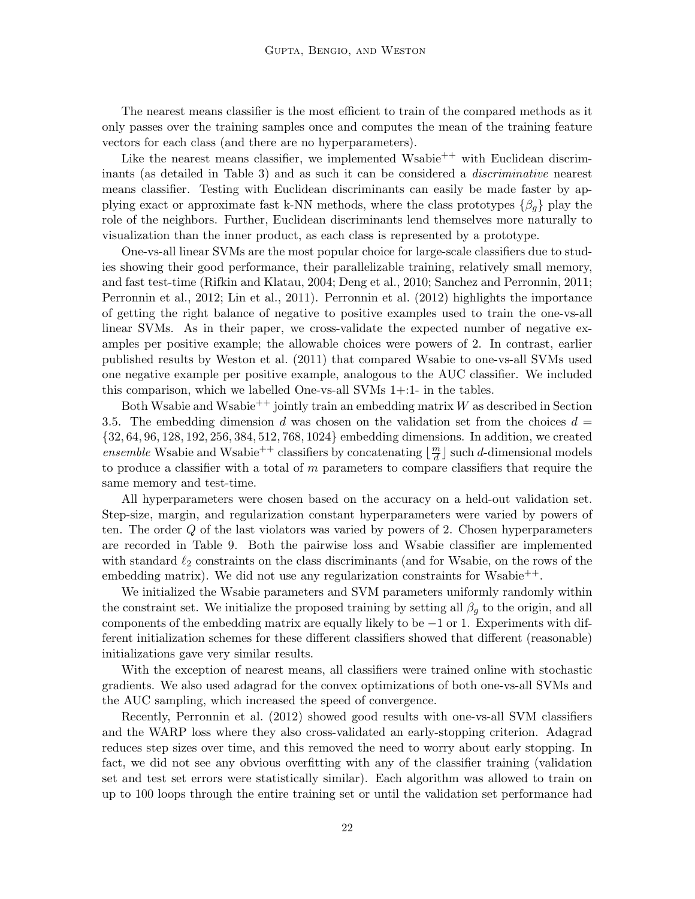The nearest means classifier is the most efficient to train of the compared methods as it only passes over the training samples once and computes the mean of the training feature vectors for each class (and there are no hyperparameters).

Like the nearest means classifier, we implemented Wsabie<sup>++</sup> with Euclidean discriminants (as detailed in Table 3) and as such it can be considered a discriminative nearest means classifier. Testing with Euclidean discriminants can easily be made faster by applying exact or approximate fast k-NN methods, where the class prototypes  $\{\beta_q\}$  play the role of the neighbors. Further, Euclidean discriminants lend themselves more naturally to visualization than the inner product, as each class is represented by a prototype.

One-vs-all linear SVMs are the most popular choice for large-scale classifiers due to studies showing their good performance, their parallelizable training, relatively small memory, and fast test-time (Rifkin and Klatau, 2004; Deng et al., 2010; Sanchez and Perronnin, 2011; Perronnin et al., 2012; Lin et al., 2011). Perronnin et al. (2012) highlights the importance of getting the right balance of negative to positive examples used to train the one-vs-all linear SVMs. As in their paper, we cross-validate the expected number of negative examples per positive example; the allowable choices were powers of 2. In contrast, earlier published results by Weston et al. (2011) that compared Wsabie to one-vs-all SVMs used one negative example per positive example, analogous to the AUC classifier. We included this comparison, which we labelled One-vs-all SVMs 1+:1- in the tables.

Both Wsabie and Wsabie<sup>++</sup> jointly train an embedding matrix  $W$  as described in Section 3.5. The embedding dimension d was chosen on the validation set from the choices  $d =$ {32, 64, 96, 128, 192, 256, 384, 512, 768, 1024} embedding dimensions. In addition, we created ensemble Wsabie and Wsabie<sup>++</sup> classifiers by concatenating  $\left|\frac{m}{d}\right|$  $\frac{m}{d}$ ] such *d*-dimensional models to produce a classifier with a total of  $m$  parameters to compare classifiers that require the same memory and test-time.

All hyperparameters were chosen based on the accuracy on a held-out validation set. Step-size, margin, and regularization constant hyperparameters were varied by powers of ten. The order Q of the last violators was varied by powers of 2. Chosen hyperparameters are recorded in Table 9. Both the pairwise loss and Wsabie classifier are implemented with standard  $\ell_2$  constraints on the class discriminants (and for Wsabie, on the rows of the embedding matrix). We did not use any regularization constraints for Wsabie<sup>++</sup>.

We initialized the Wsabie parameters and SVM parameters uniformly randomly within the constraint set. We initialize the proposed training by setting all  $\beta_g$  to the origin, and all components of the embedding matrix are equally likely to be −1 or 1. Experiments with different initialization schemes for these different classifiers showed that different (reasonable) initializations gave very similar results.

With the exception of nearest means, all classifiers were trained online with stochastic gradients. We also used adagrad for the convex optimizations of both one-vs-all SVMs and the AUC sampling, which increased the speed of convergence.

Recently, Perronnin et al. (2012) showed good results with one-vs-all SVM classifiers and the WARP loss where they also cross-validated an early-stopping criterion. Adagrad reduces step sizes over time, and this removed the need to worry about early stopping. In fact, we did not see any obvious overfitting with any of the classifier training (validation set and test set errors were statistically similar). Each algorithm was allowed to train on up to 100 loops through the entire training set or until the validation set performance had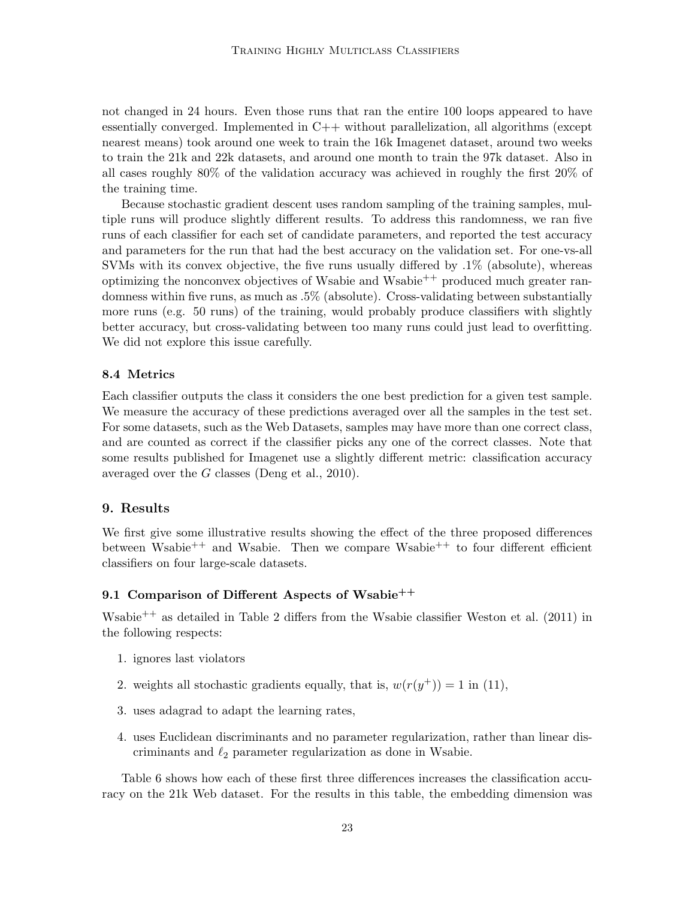not changed in 24 hours. Even those runs that ran the entire 100 loops appeared to have essentially converged. Implemented in C++ without parallelization, all algorithms (except nearest means) took around one week to train the 16k Imagenet dataset, around two weeks to train the 21k and 22k datasets, and around one month to train the 97k dataset. Also in all cases roughly 80% of the validation accuracy was achieved in roughly the first 20% of the training time.

Because stochastic gradient descent uses random sampling of the training samples, multiple runs will produce slightly different results. To address this randomness, we ran five runs of each classifier for each set of candidate parameters, and reported the test accuracy and parameters for the run that had the best accuracy on the validation set. For one-vs-all SVMs with its convex objective, the five runs usually differed by  $.1\%$  (absolute), whereas optimizing the nonconvex objectives of Wsabie and Wsabie<sup>++</sup> produced much greater randomness within five runs, as much as .5% (absolute). Cross-validating between substantially more runs (e.g. 50 runs) of the training, would probably produce classifiers with slightly better accuracy, but cross-validating between too many runs could just lead to overfitting. We did not explore this issue carefully.

#### 8.4 Metrics

Each classifier outputs the class it considers the one best prediction for a given test sample. We measure the accuracy of these predictions averaged over all the samples in the test set. For some datasets, such as the Web Datasets, samples may have more than one correct class, and are counted as correct if the classifier picks any one of the correct classes. Note that some results published for Imagenet use a slightly different metric: classification accuracy averaged over the G classes (Deng et al., 2010).

### 9. Results

We first give some illustrative results showing the effect of the three proposed differences between Wsabie<sup>++</sup> and Wsabie. Then we compare Wsabie<sup>++</sup> to four different efficient classifiers on four large-scale datasets.

# 9.1 Comparison of Different Aspects of Wsabie<sup>++</sup>

Wsabie<sup>++</sup> as detailed in Table 2 differs from the Wsabie classifier Weston et al. (2011) in the following respects:

- 1. ignores last violators
- 2. weights all stochastic gradients equally, that is,  $w(r(y^+)) = 1$  in (11),
- 3. uses adagrad to adapt the learning rates,
- 4. uses Euclidean discriminants and no parameter regularization, rather than linear discriminants and  $\ell_2$  parameter regularization as done in Wsabie.

Table 6 shows how each of these first three differences increases the classification accuracy on the 21k Web dataset. For the results in this table, the embedding dimension was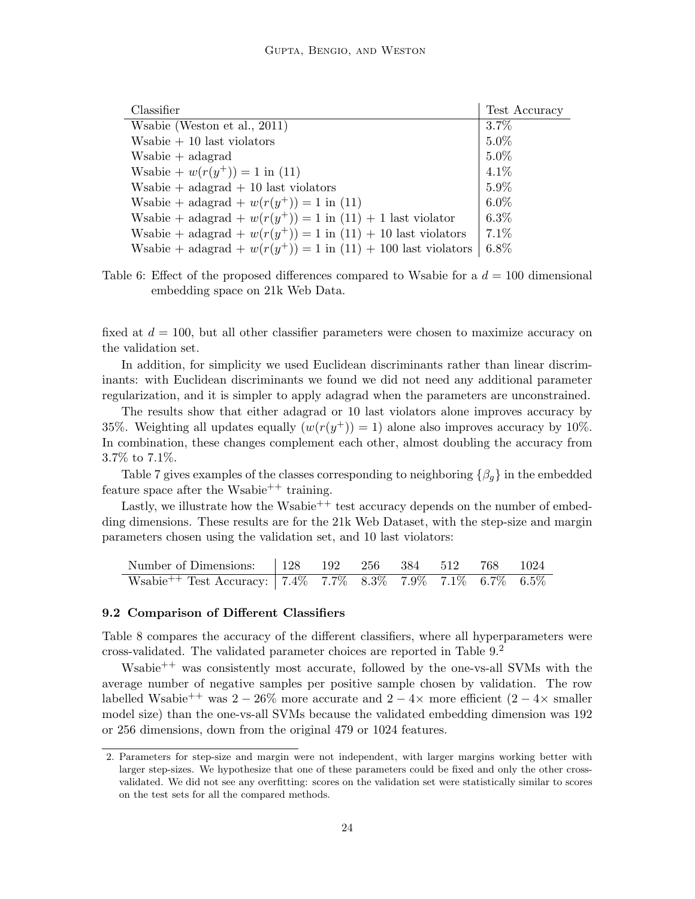| Classifier                                                      | Test Accuracy |
|-----------------------------------------------------------------|---------------|
| Wsabie (Weston et al., 2011)                                    | $3.7\%$       |
| $W\n  sub + 10 last violations$                                 | $5.0\%$       |
| $Wsabie + adagrad$                                              | $5.0\%$       |
| Wsabie + $w(r(y^+)) = 1$ in (11)                                | $4.1\%$       |
| Wsabie + $ad {\rm arg} a + 10$ last violators                   | $5.9\%$       |
| Wsabie + adagrad + $w(r(y^{+})) = 1$ in (11)                    | $6.0\%$       |
| Wsabie + adagrad + $w(r(y^+)) = 1$ in (11) + 1 last violator    | $6.3\%$       |
| Wsabie + adagrad + $w(r(y^+)) = 1$ in (11) + 10 last violators  | $7.1\%$       |
| Wsabie + adagrad + $w(r(y^+)) = 1$ in (11) + 100 last violators | $6.8\%$       |

Table 6: Effect of the proposed differences compared to Wsabie for a  $d = 100$  dimensional embedding space on 21k Web Data.

fixed at  $d = 100$ , but all other classifier parameters were chosen to maximize accuracy on the validation set.

In addition, for simplicity we used Euclidean discriminants rather than linear discriminants: with Euclidean discriminants we found we did not need any additional parameter regularization, and it is simpler to apply adagrad when the parameters are unconstrained.

The results show that either adagrad or 10 last violators alone improves accuracy by 35%. Weighting all updates equally  $(w(r(y^+)) = 1)$  alone also improves accuracy by 10%. In combination, these changes complement each other, almost doubling the accuracy from 3.7% to 7.1%.

Table 7 gives examples of the classes corresponding to neighboring  $\{\beta_q\}$  in the embedded feature space after the Wsabie<sup>++</sup> training.

Lastly, we illustrate how the Wsabie<sup>++</sup> test accuracy depends on the number of embedding dimensions. These results are for the 21k Web Dataset, with the step-size and margin parameters chosen using the validation set, and 10 last violators:

| Number of Dimensions:   128 192 256 384 512 768 1024                          |  |  |  |  |
|-------------------------------------------------------------------------------|--|--|--|--|
| Wsabie <sup>++</sup> Test Accuracy: 7.4\% 7.7\% 8.3\% 7.9\% 7.1\% 6.7\% 6.5\% |  |  |  |  |

#### 9.2 Comparison of Different Classifiers

Table 8 compares the accuracy of the different classifiers, where all hyperparameters were cross-validated. The validated parameter choices are reported in Table 9.<sup>2</sup>

Wsabie<sup> $++$ </sup> was consistently most accurate, followed by the one-vs-all SVMs with the average number of negative samples per positive sample chosen by validation. The row labelled Wsabie<sup>++</sup> was 2 − 26% more accurate and 2 − 4× more efficient (2 − 4× smaller model size) than the one-vs-all SVMs because the validated embedding dimension was 192 or 256 dimensions, down from the original 479 or 1024 features.

<sup>2.</sup> Parameters for step-size and margin were not independent, with larger margins working better with larger step-sizes. We hypothesize that one of these parameters could be fixed and only the other crossvalidated. We did not see any overfitting: scores on the validation set were statistically similar to scores on the test sets for all the compared methods.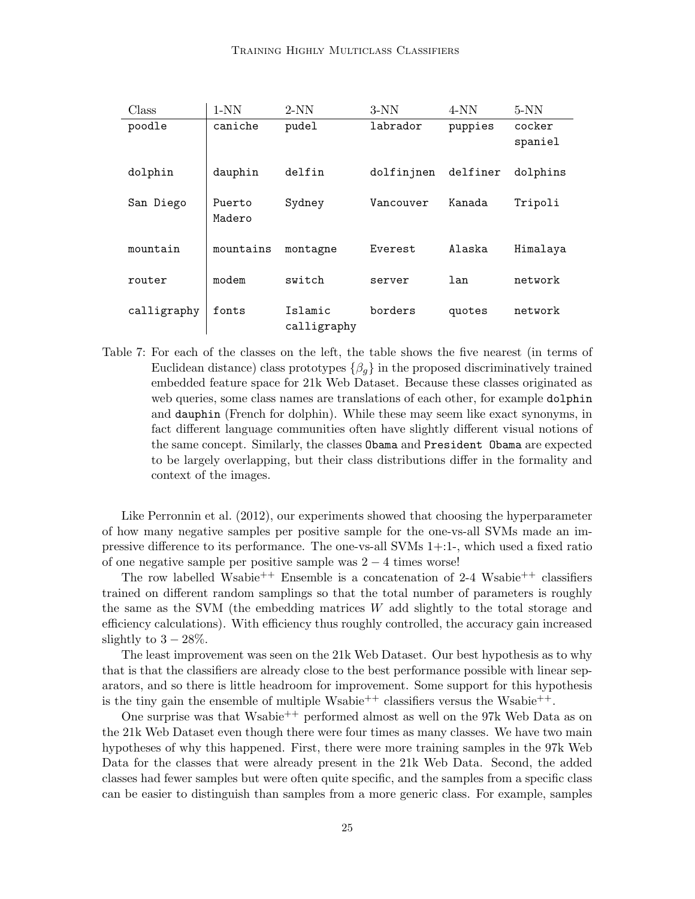| Class       | $1-NN$           | $2-NN$                 | $3-NN$     | $4-NN$   | $5-NN$            |
|-------------|------------------|------------------------|------------|----------|-------------------|
| poodle      | caniche          | pudel                  | labrador   | puppies  | cocker<br>spaniel |
| dolphin     | dauphin          | delfin                 | dolfinjnen | delfiner | dolphins          |
| San Diego   | Puerto<br>Madero | Sydney                 | Vancouver  | Kanada   | Tripoli           |
| mountain    | mountains        | montagne               | Everest    | Alaska   | Himalaya          |
| router      | modem            | switch                 | server     | lan      | network           |
| calligraphy | fonts            | Islamic<br>calligraphy | borders    | quotes   | network           |

Table 7: For each of the classes on the left, the table shows the five nearest (in terms of Euclidean distance) class prototypes  $\{\beta_q\}$  in the proposed discriminatively trained embedded feature space for 21k Web Dataset. Because these classes originated as web queries, some class names are translations of each other, for example dolphin and dauphin (French for dolphin). While these may seem like exact synonyms, in fact different language communities often have slightly different visual notions of the same concept. Similarly, the classes Obama and President Obama are expected to be largely overlapping, but their class distributions differ in the formality and context of the images.

Like Perronnin et al. (2012), our experiments showed that choosing the hyperparameter of how many negative samples per positive sample for the one-vs-all SVMs made an impressive difference to its performance. The one-vs-all SVMs 1+:1-, which used a fixed ratio of one negative sample per positive sample was  $2 - 4$  times worse!

The row labelled Wsabie<sup>++</sup> Ensemble is a concatenation of 2-4 Wsabie<sup>++</sup> classifiers trained on different random samplings so that the total number of parameters is roughly the same as the SVM (the embedding matrices  $W$  add slightly to the total storage and efficiency calculations). With efficiency thus roughly controlled, the accuracy gain increased slightly to  $3 - 28\%$ .

The least improvement was seen on the 21k Web Dataset. Our best hypothesis as to why that is that the classifiers are already close to the best performance possible with linear separators, and so there is little headroom for improvement. Some support for this hypothesis is the tiny gain the ensemble of multiple Wsabie<sup>++</sup> classifiers versus the Wsabie<sup>++</sup>.

One surprise was that Wsabie<sup>++</sup> performed almost as well on the 97k Web Data as on the 21k Web Dataset even though there were four times as many classes. We have two main hypotheses of why this happened. First, there were more training samples in the 97k Web Data for the classes that were already present in the 21k Web Data. Second, the added classes had fewer samples but were often quite specific, and the samples from a specific class can be easier to distinguish than samples from a more generic class. For example, samples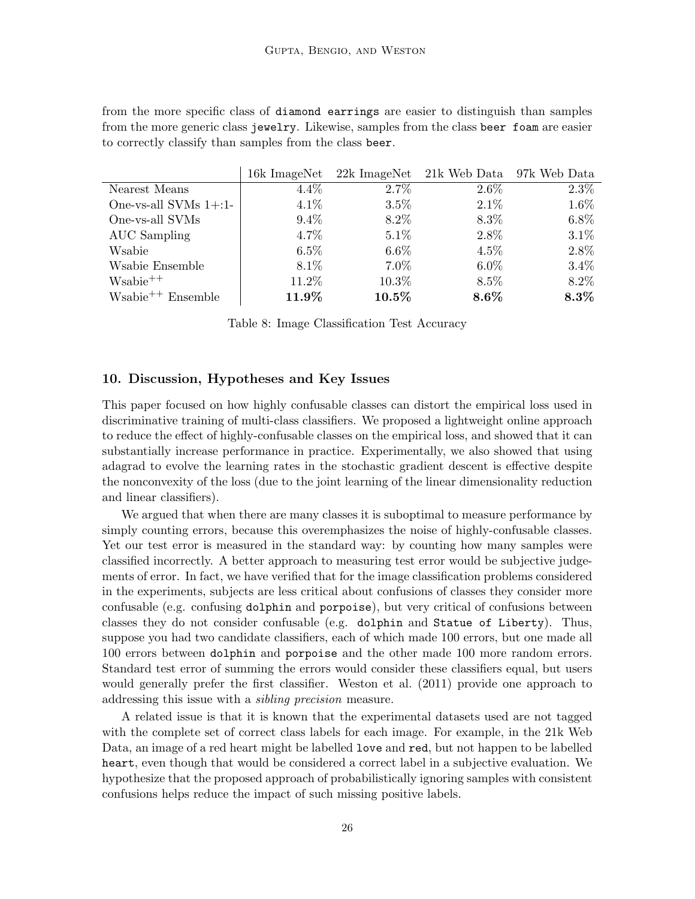from the more specific class of diamond earrings are easier to distinguish than samples from the more generic class jewelry. Likewise, samples from the class beer foam are easier to correctly classify than samples from the class beer.

|                          |         |          | 16k ImageNet 22k ImageNet 21k Web Data 97k Web Data |         |
|--------------------------|---------|----------|-----------------------------------------------------|---------|
| Nearest Means            | $4.4\%$ | $2.7\%$  | $2.6\%$                                             | $2.3\%$ |
| One-vs-all SVMs $1+$ :1- | $4.1\%$ | 3.5%     | $2.1\%$                                             | 1.6%    |
| One-vs-all SVMs          | $9.4\%$ | 8.2%     | 8.3%                                                | $6.8\%$ |
| AUC Sampling             | $4.7\%$ | $5.1\%$  | 2.8%                                                | $3.1\%$ |
| Wsabie                   | $6.5\%$ | $6.6\%$  | $4.5\%$                                             | 2.8%    |
| Wsabie Ensemble          | 8.1\%   | $7.0\%$  | $6.0\%$                                             | $3.4\%$ |
| $W\n  +$                 | 11.2%   | 10.3%    | 8.5%                                                | 8.2%    |
| $W\n  +$ Ensemble        | 11.9%   | $10.5\%$ | $8.6\%$                                             | $8.3\%$ |

Table 8: Image Classification Test Accuracy

#### 10. Discussion, Hypotheses and Key Issues

This paper focused on how highly confusable classes can distort the empirical loss used in discriminative training of multi-class classifiers. We proposed a lightweight online approach to reduce the effect of highly-confusable classes on the empirical loss, and showed that it can substantially increase performance in practice. Experimentally, we also showed that using adagrad to evolve the learning rates in the stochastic gradient descent is effective despite the nonconvexity of the loss (due to the joint learning of the linear dimensionality reduction and linear classifiers).

We argued that when there are many classes it is suboptimal to measure performance by simply counting errors, because this overemphasizes the noise of highly-confusable classes. Yet our test error is measured in the standard way: by counting how many samples were classified incorrectly. A better approach to measuring test error would be subjective judgements of error. In fact, we have verified that for the image classification problems considered in the experiments, subjects are less critical about confusions of classes they consider more confusable (e.g. confusing dolphin and porpoise), but very critical of confusions between classes they do not consider confusable (e.g. dolphin and Statue of Liberty). Thus, suppose you had two candidate classifiers, each of which made 100 errors, but one made all 100 errors between dolphin and porpoise and the other made 100 more random errors. Standard test error of summing the errors would consider these classifiers equal, but users would generally prefer the first classifier. Weston et al. (2011) provide one approach to addressing this issue with a sibling precision measure.

A related issue is that it is known that the experimental datasets used are not tagged with the complete set of correct class labels for each image. For example, in the 21k Web Data, an image of a red heart might be labelled love and red, but not happen to be labelled heart, even though that would be considered a correct label in a subjective evaluation. We hypothesize that the proposed approach of probabilistically ignoring samples with consistent confusions helps reduce the impact of such missing positive labels.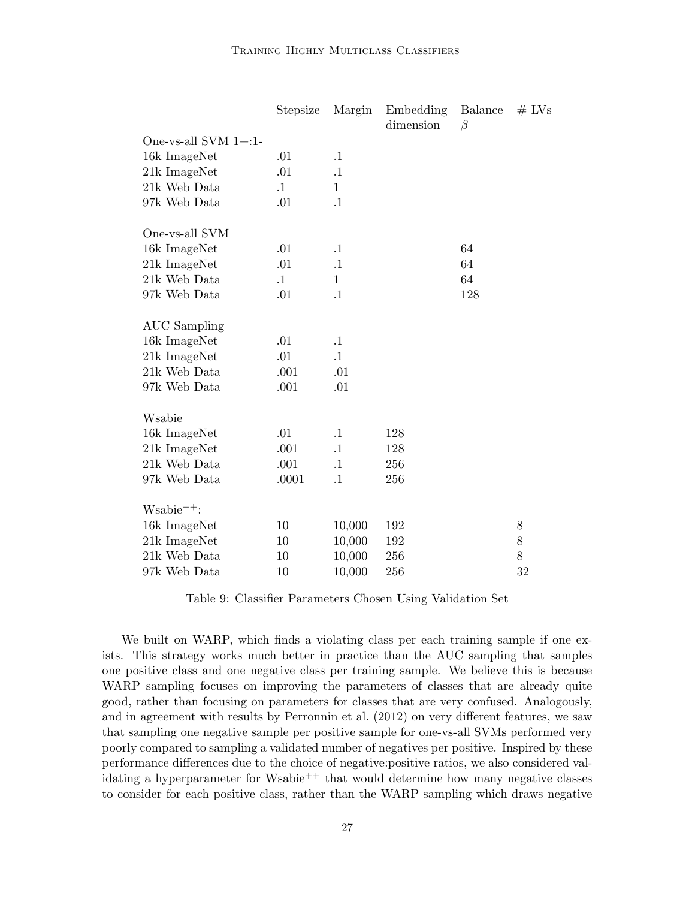|                         | Stepsize  | Margin       | Embedding<br>dimension | <b>Balance</b><br>$\beta$ | $#$ LVs |
|-------------------------|-----------|--------------|------------------------|---------------------------|---------|
| One-vs-all SVM $1+$ :1- |           |              |                        |                           |         |
| 16k ImageNet            | .01       | $\cdot$ 1    |                        |                           |         |
| 21k ImageNet            | .01       | $\cdot$ 1    |                        |                           |         |
| 21k Web Data            | $\cdot$ 1 | $\mathbf{1}$ |                        |                           |         |
| 97k Web Data            | .01       | $\cdot$ 1    |                        |                           |         |
| One-vs-all SVM          |           |              |                        |                           |         |
| 16k ImageNet            | .01       | $\cdot$ 1    |                        | 64                        |         |
| 21k ImageNet            | .01       | $\cdot$ 1    |                        | 64                        |         |
| 21k Web Data            | $\cdot$ 1 | $\mathbf{1}$ |                        | 64                        |         |
| 97k Web Data            | .01       | $\cdot$ 1    |                        | 128                       |         |
|                         |           |              |                        |                           |         |
| <b>AUC</b> Sampling     |           |              |                        |                           |         |
| 16k ImageNet            | .01       | $\cdot$ 1    |                        |                           |         |
| 21k ImageNet            | .01       | $\cdot$ 1    |                        |                           |         |
| 21k Web Data            | .001      | .01          |                        |                           |         |
| 97k Web Data            | .001      | .01          |                        |                           |         |
|                         |           |              |                        |                           |         |
| Wsabie                  |           |              |                        |                           |         |
| 16k ImageNet            | .01       | $\cdot$ 1    | 128                    |                           |         |
| 21k ImageNet            | .001      | $\cdot$ 1    | 128                    |                           |         |
| 21k Web Data            | .001      | $\cdot$ 1    | 256                    |                           |         |
| 97k Web Data            | .0001     | $\cdot$ 1    | 256                    |                           |         |
| $W\n  \n  + :$          |           |              |                        |                           |         |
| 16k ImageNet            | 10        | 10,000       | 192                    |                           | 8       |
| 21k ImageNet            | 10        | 10,000       | 192                    |                           | 8       |
| 21k Web Data            | 10        | 10,000       | 256                    |                           | 8       |
| 97k Web Data            | 10        | 10,000       | 256                    |                           | 32      |

Table 9: Classifier Parameters Chosen Using Validation Set

We built on WARP, which finds a violating class per each training sample if one exists. This strategy works much better in practice than the AUC sampling that samples one positive class and one negative class per training sample. We believe this is because WARP sampling focuses on improving the parameters of classes that are already quite good, rather than focusing on parameters for classes that are very confused. Analogously, and in agreement with results by Perronnin et al. (2012) on very different features, we saw that sampling one negative sample per positive sample for one-vs-all SVMs performed very poorly compared to sampling a validated number of negatives per positive. Inspired by these performance differences due to the choice of negative:positive ratios, we also considered validating a hyperparameter for Wsabie<sup>++</sup> that would determine how many negative classes to consider for each positive class, rather than the WARP sampling which draws negative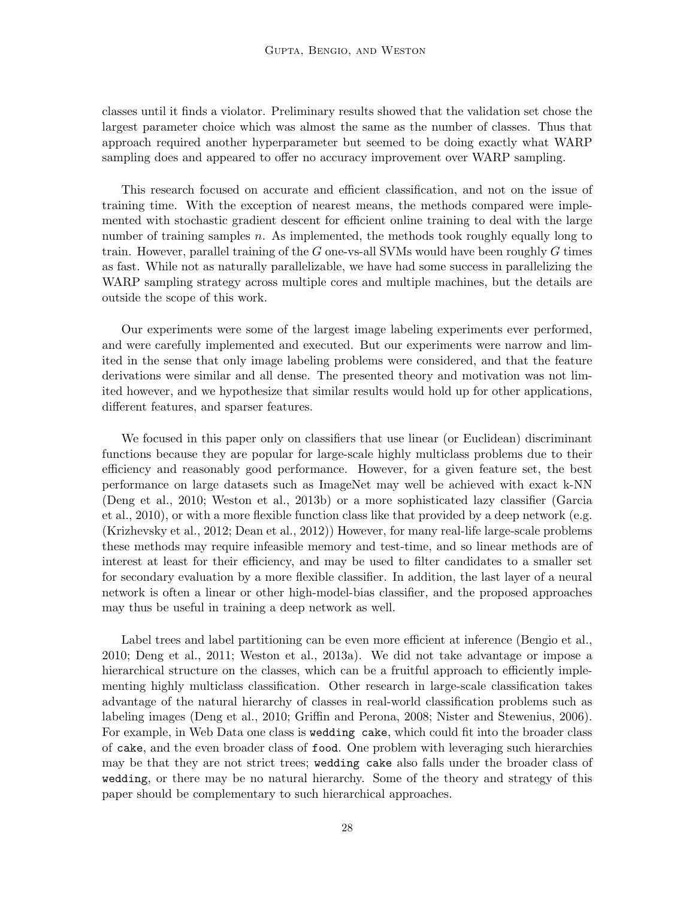classes until it finds a violator. Preliminary results showed that the validation set chose the largest parameter choice which was almost the same as the number of classes. Thus that approach required another hyperparameter but seemed to be doing exactly what WARP sampling does and appeared to offer no accuracy improvement over WARP sampling.

This research focused on accurate and efficient classification, and not on the issue of training time. With the exception of nearest means, the methods compared were implemented with stochastic gradient descent for efficient online training to deal with the large number of training samples n. As implemented, the methods took roughly equally long to train. However, parallel training of the  $G$  one-vs-all SVMs would have been roughly  $G$  times as fast. While not as naturally parallelizable, we have had some success in parallelizing the WARP sampling strategy across multiple cores and multiple machines, but the details are outside the scope of this work.

Our experiments were some of the largest image labeling experiments ever performed, and were carefully implemented and executed. But our experiments were narrow and limited in the sense that only image labeling problems were considered, and that the feature derivations were similar and all dense. The presented theory and motivation was not limited however, and we hypothesize that similar results would hold up for other applications, different features, and sparser features.

We focused in this paper only on classifiers that use linear (or Euclidean) discriminant functions because they are popular for large-scale highly multiclass problems due to their efficiency and reasonably good performance. However, for a given feature set, the best performance on large datasets such as ImageNet may well be achieved with exact k-NN (Deng et al., 2010; Weston et al., 2013b) or a more sophisticated lazy classifier (Garcia et al., 2010), or with a more flexible function class like that provided by a deep network (e.g. (Krizhevsky et al., 2012; Dean et al., 2012)) However, for many real-life large-scale problems these methods may require infeasible memory and test-time, and so linear methods are of interest at least for their efficiency, and may be used to filter candidates to a smaller set for secondary evaluation by a more flexible classifier. In addition, the last layer of a neural network is often a linear or other high-model-bias classifier, and the proposed approaches may thus be useful in training a deep network as well.

Label trees and label partitioning can be even more efficient at inference (Bengio et al., 2010; Deng et al., 2011; Weston et al., 2013a). We did not take advantage or impose a hierarchical structure on the classes, which can be a fruitful approach to efficiently implementing highly multiclass classification. Other research in large-scale classification takes advantage of the natural hierarchy of classes in real-world classification problems such as labeling images (Deng et al., 2010; Griffin and Perona, 2008; Nister and Stewenius, 2006). For example, in Web Data one class is wedding cake, which could fit into the broader class of cake, and the even broader class of food. One problem with leveraging such hierarchies may be that they are not strict trees; wedding cake also falls under the broader class of wedding, or there may be no natural hierarchy. Some of the theory and strategy of this paper should be complementary to such hierarchical approaches.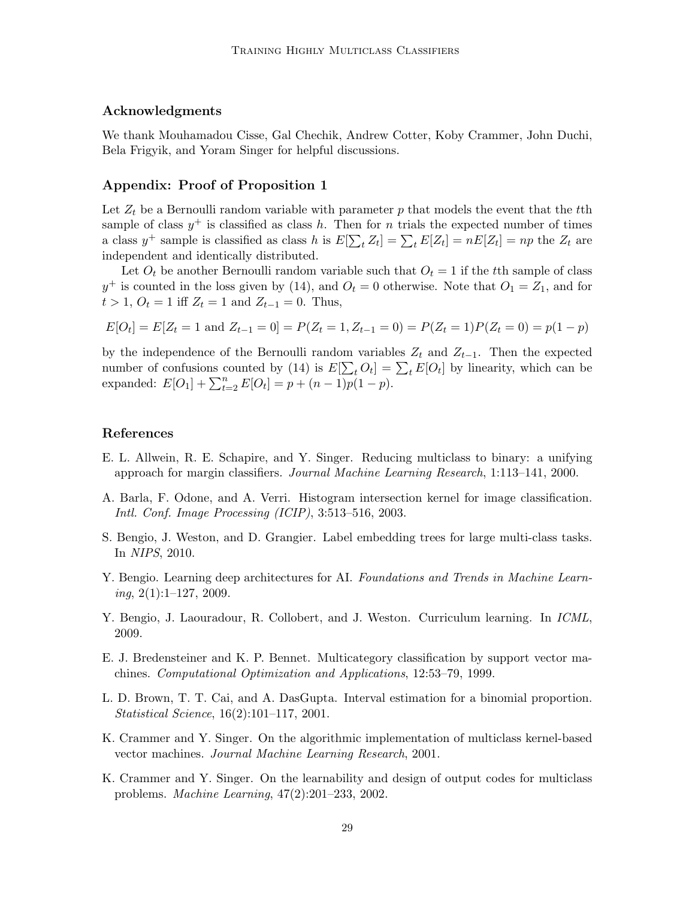# Acknowledgments

We thank Mouhamadou Cisse, Gal Chechik, Andrew Cotter, Koby Crammer, John Duchi, Bela Frigyik, and Yoram Singer for helpful discussions.

### Appendix: Proof of Proposition 1

Let  $Z_t$  be a Bernoulli random variable with parameter p that models the event that the tth sample of class  $y^+$  is classified as class h. Then for n trials the expected number of times a class  $y^+$  sample is classified as class h is  $E[\sum_t Z_t] = \sum_t E[Z_t] = nE[Z_t] = np$  the  $Z_t$  are independent and identically distributed.

Let  $O_t$  be another Bernoulli random variable such that  $O_t = 1$  if the tth sample of class  $y^+$  is counted in the loss given by (14), and  $O_t = 0$  otherwise. Note that  $O_1 = Z_1$ , and for  $t > 1, O_t = 1$  iff  $Z_t = 1$  and  $Z_{t-1} = 0$ . Thus,

$$
E[O_t] = E[Z_t = 1 \text{ and } Z_{t-1} = 0] = P(Z_t = 1, Z_{t-1} = 0) = P(Z_t = 1)P(Z_t = 0) = p(1 - p)
$$

by the independence of the Bernoulli random variables  $Z_t$  and  $Z_{t-1}$ . Then the expected number of confusions counted by (14) is  $E[\sum_t O_t] = \sum_t E[O_t]$  by linearity, which can be expanded:  $E[O_1] + \sum_{t=2}^n E[O_t] = p + (n-1)p(1-p).$ 

#### References

- E. L. Allwein, R. E. Schapire, and Y. Singer. Reducing multiclass to binary: a unifying approach for margin classifiers. Journal Machine Learning Research, 1:113–141, 2000.
- A. Barla, F. Odone, and A. Verri. Histogram intersection kernel for image classification. Intl. Conf. Image Processing (ICIP), 3:513–516, 2003.
- S. Bengio, J. Weston, and D. Grangier. Label embedding trees for large multi-class tasks. In NIPS, 2010.
- Y. Bengio. Learning deep architectures for AI. Foundations and Trends in Machine Learn $ing, 2(1):1-127, 2009.$
- Y. Bengio, J. Laouradour, R. Collobert, and J. Weston. Curriculum learning. In *ICML*, 2009.
- E. J. Bredensteiner and K. P. Bennet. Multicategory classification by support vector machines. Computational Optimization and Applications, 12:53–79, 1999.
- L. D. Brown, T. T. Cai, and A. DasGupta. Interval estimation for a binomial proportion. Statistical Science, 16(2):101–117, 2001.
- K. Crammer and Y. Singer. On the algorithmic implementation of multiclass kernel-based vector machines. Journal Machine Learning Research, 2001.
- K. Crammer and Y. Singer. On the learnability and design of output codes for multiclass problems. Machine Learning, 47(2):201–233, 2002.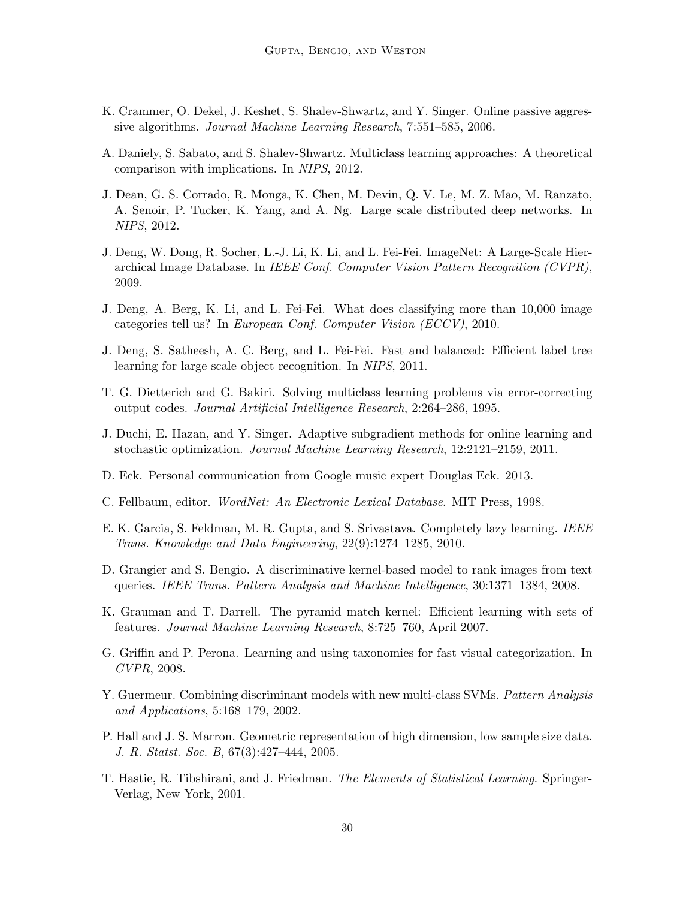- K. Crammer, O. Dekel, J. Keshet, S. Shalev-Shwartz, and Y. Singer. Online passive aggressive algorithms. Journal Machine Learning Research, 7:551–585, 2006.
- A. Daniely, S. Sabato, and S. Shalev-Shwartz. Multiclass learning approaches: A theoretical comparison with implications. In NIPS, 2012.
- J. Dean, G. S. Corrado, R. Monga, K. Chen, M. Devin, Q. V. Le, M. Z. Mao, M. Ranzato, A. Senoir, P. Tucker, K. Yang, and A. Ng. Large scale distributed deep networks. In NIPS, 2012.
- J. Deng, W. Dong, R. Socher, L.-J. Li, K. Li, and L. Fei-Fei. ImageNet: A Large-Scale Hierarchical Image Database. In IEEE Conf. Computer Vision Pattern Recognition (CVPR), 2009.
- J. Deng, A. Berg, K. Li, and L. Fei-Fei. What does classifying more than 10,000 image categories tell us? In European Conf. Computer Vision (ECCV), 2010.
- J. Deng, S. Satheesh, A. C. Berg, and L. Fei-Fei. Fast and balanced: Efficient label tree learning for large scale object recognition. In NIPS, 2011.
- T. G. Dietterich and G. Bakiri. Solving multiclass learning problems via error-correcting output codes. Journal Artificial Intelligence Research, 2:264–286, 1995.
- J. Duchi, E. Hazan, and Y. Singer. Adaptive subgradient methods for online learning and stochastic optimization. Journal Machine Learning Research, 12:2121–2159, 2011.
- D. Eck. Personal communication from Google music expert Douglas Eck. 2013.
- C. Fellbaum, editor. WordNet: An Electronic Lexical Database. MIT Press, 1998.
- E. K. Garcia, S. Feldman, M. R. Gupta, and S. Srivastava. Completely lazy learning. IEEE Trans. Knowledge and Data Engineering, 22(9):1274–1285, 2010.
- D. Grangier and S. Bengio. A discriminative kernel-based model to rank images from text queries. IEEE Trans. Pattern Analysis and Machine Intelligence, 30:1371–1384, 2008.
- K. Grauman and T. Darrell. The pyramid match kernel: Efficient learning with sets of features. Journal Machine Learning Research, 8:725–760, April 2007.
- G. Griffin and P. Perona. Learning and using taxonomies for fast visual categorization. In CVPR, 2008.
- Y. Guermeur. Combining discriminant models with new multi-class SVMs. Pattern Analysis and Applications, 5:168–179, 2002.
- P. Hall and J. S. Marron. Geometric representation of high dimension, low sample size data. J. R. Statst. Soc. B, 67(3):427–444, 2005.
- T. Hastie, R. Tibshirani, and J. Friedman. The Elements of Statistical Learning. Springer-Verlag, New York, 2001.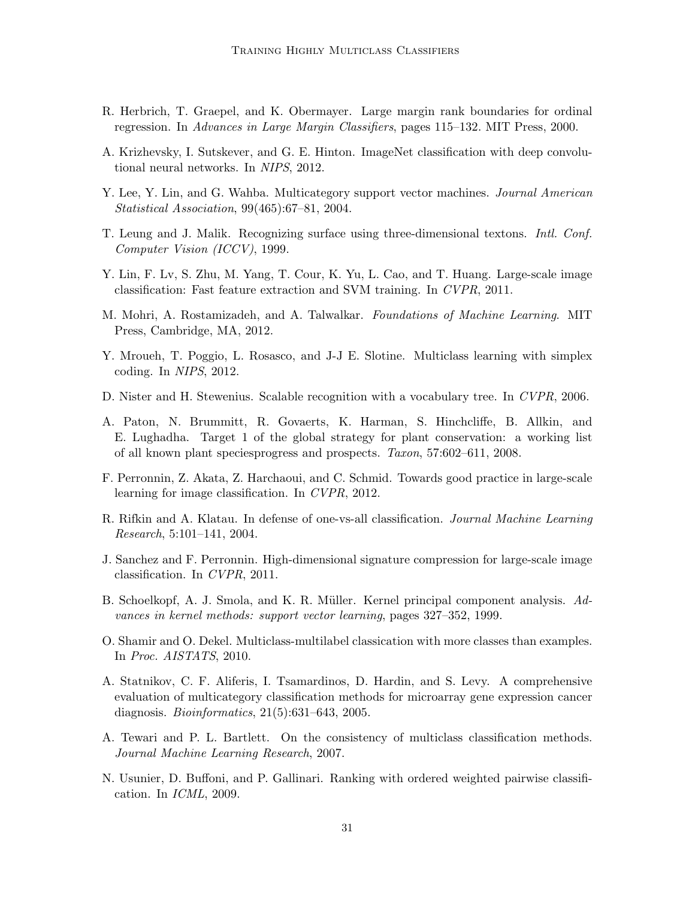- R. Herbrich, T. Graepel, and K. Obermayer. Large margin rank boundaries for ordinal regression. In Advances in Large Margin Classifiers, pages 115–132. MIT Press, 2000.
- A. Krizhevsky, I. Sutskever, and G. E. Hinton. ImageNet classification with deep convolutional neural networks. In NIPS, 2012.
- Y. Lee, Y. Lin, and G. Wahba. Multicategory support vector machines. Journal American Statistical Association, 99(465):67–81, 2004.
- T. Leung and J. Malik. Recognizing surface using three-dimensional textons. Intl. Conf. Computer Vision (ICCV), 1999.
- Y. Lin, F. Lv, S. Zhu, M. Yang, T. Cour, K. Yu, L. Cao, and T. Huang. Large-scale image classification: Fast feature extraction and SVM training. In CVPR, 2011.
- M. Mohri, A. Rostamizadeh, and A. Talwalkar. Foundations of Machine Learning. MIT Press, Cambridge, MA, 2012.
- Y. Mroueh, T. Poggio, L. Rosasco, and J-J E. Slotine. Multiclass learning with simplex coding. In NIPS, 2012.
- D. Nister and H. Stewenius. Scalable recognition with a vocabulary tree. In CVPR, 2006.
- A. Paton, N. Brummitt, R. Govaerts, K. Harman, S. Hinchcliffe, B. Allkin, and E. Lughadha. Target 1 of the global strategy for plant conservation: a working list of all known plant speciesprogress and prospects. Taxon, 57:602–611, 2008.
- F. Perronnin, Z. Akata, Z. Harchaoui, and C. Schmid. Towards good practice in large-scale learning for image classification. In CVPR, 2012.
- R. Rifkin and A. Klatau. In defense of one-vs-all classification. Journal Machine Learning Research, 5:101–141, 2004.
- J. Sanchez and F. Perronnin. High-dimensional signature compression for large-scale image classification. In CVPR, 2011.
- B. Schoelkopf, A. J. Smola, and K. R. Müller. Kernel principal component analysis. Advances in kernel methods: support vector learning, pages 327–352, 1999.
- O. Shamir and O. Dekel. Multiclass-multilabel classication with more classes than examples. In Proc. AISTATS, 2010.
- A. Statnikov, C. F. Aliferis, I. Tsamardinos, D. Hardin, and S. Levy. A comprehensive evaluation of multicategory classification methods for microarray gene expression cancer diagnosis. Bioinformatics, 21(5):631–643, 2005.
- A. Tewari and P. L. Bartlett. On the consistency of multiclass classification methods. Journal Machine Learning Research, 2007.
- N. Usunier, D. Buffoni, and P. Gallinari. Ranking with ordered weighted pairwise classification. In ICML, 2009.